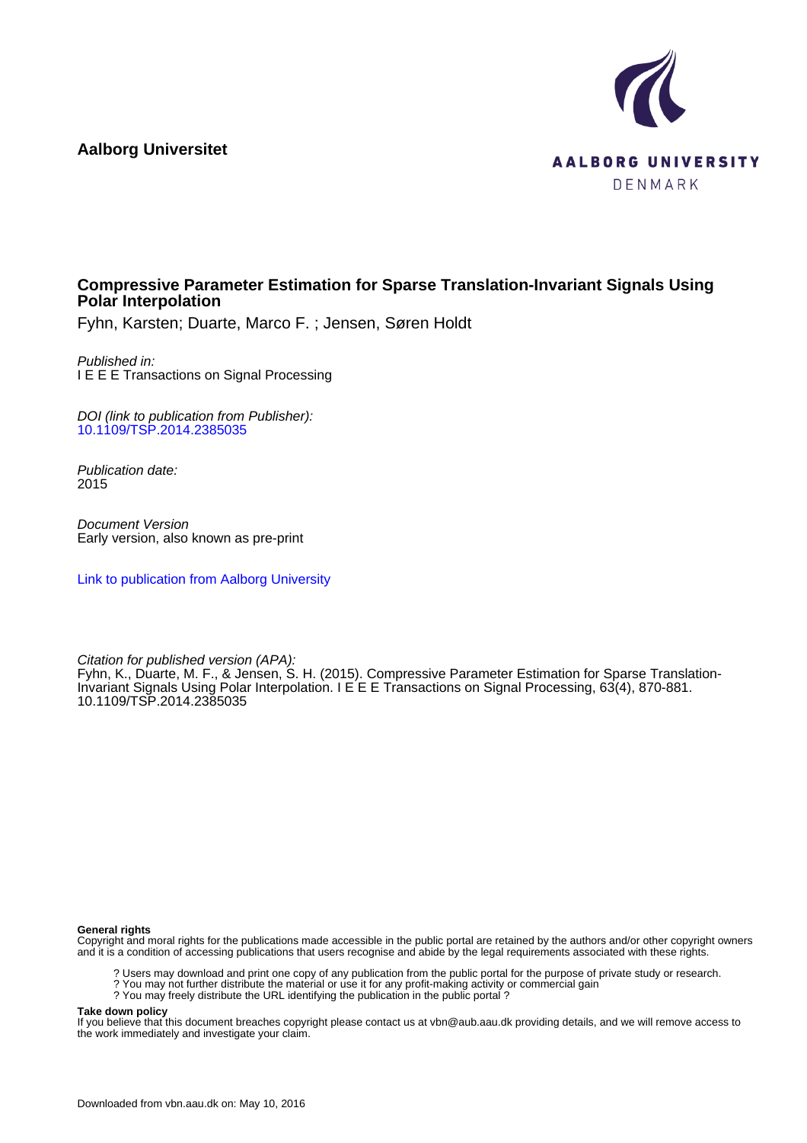**Aalborg Universitet**



# **Compressive Parameter Estimation for Sparse Translation-Invariant Signals Using Polar Interpolation**

Fyhn, Karsten; Duarte, Marco F. ; Jensen, Søren Holdt

Published in: I E E E Transactions on Signal Processing

DOI (link to publication from Publisher): [10.1109/TSP.2014.2385035](http://dx.doi.org/10.1109/TSP.2014.2385035)

Publication date: 2015

Document Version Early version, also known as pre-print

[Link to publication from Aalborg University](http://vbn.aau.dk/en/publications/compressive-parameter-estimation-for-sparse-translationinvariant-signals-using-polar-interpolation(56d35506-d4ae-4296-9a36-7ec95b1160c7).html)

Citation for published version (APA): Fyhn, K., Duarte, M. F., & Jensen, S. H. (2015). Compressive Parameter Estimation for Sparse Translation-Invariant Signals Using Polar Interpolation. I E E E Transactions on Signal Processing, 63(4), 870-881. 10.1109/TSP.2014.2385035

# **General rights**

Copyright and moral rights for the publications made accessible in the public portal are retained by the authors and/or other copyright owners and it is a condition of accessing publications that users recognise and abide by the legal requirements associated with these rights.

- ? Users may download and print one copy of any publication from the public portal for the purpose of private study or research.
- ? You may not further distribute the material or use it for any profit-making activity or commercial gain
- ? You may freely distribute the URL identifying the publication in the public portal ?

#### **Take down policy**

If you believe that this document breaches copyright please contact us at vbn@aub.aau.dk providing details, and we will remove access to the work immediately and investigate your claim.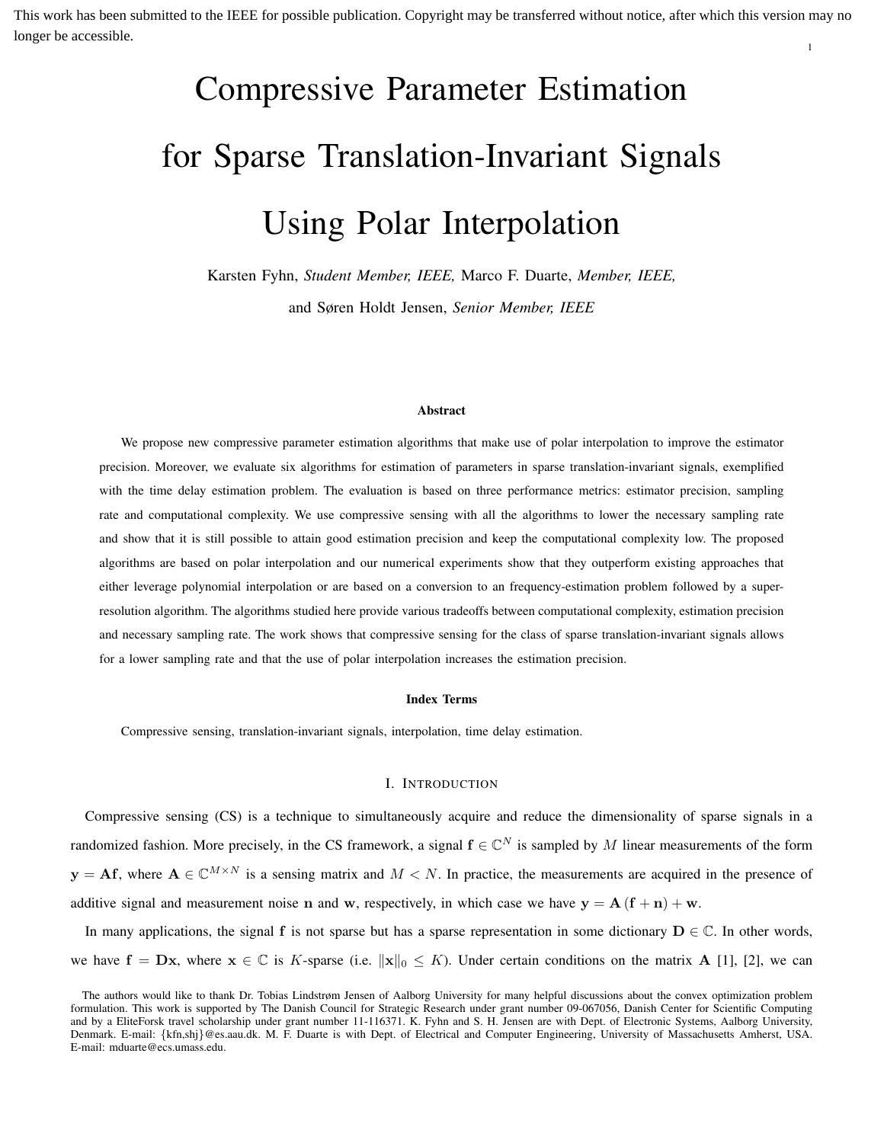1 This work has been submitted to the IEEE for possible publication. Copyright may be transferred without notice, after which this version may no longer be accessible.

# Compressive Parameter Estimation for Sparse Translation-Invariant Signals Using Polar Interpolation

Karsten Fyhn, *Student Member, IEEE,* Marco F. Duarte, *Member, IEEE,*

and Søren Holdt Jensen, *Senior Member, IEEE*

#### Abstract

We propose new compressive parameter estimation algorithms that make use of polar interpolation to improve the estimator precision. Moreover, we evaluate six algorithms for estimation of parameters in sparse translation-invariant signals, exemplified with the time delay estimation problem. The evaluation is based on three performance metrics: estimator precision, sampling rate and computational complexity. We use compressive sensing with all the algorithms to lower the necessary sampling rate and show that it is still possible to attain good estimation precision and keep the computational complexity low. The proposed algorithms are based on polar interpolation and our numerical experiments show that they outperform existing approaches that either leverage polynomial interpolation or are based on a conversion to an frequency-estimation problem followed by a superresolution algorithm. The algorithms studied here provide various tradeoffs between computational complexity, estimation precision and necessary sampling rate. The work shows that compressive sensing for the class of sparse translation-invariant signals allows for a lower sampling rate and that the use of polar interpolation increases the estimation precision.

#### Index Terms

Compressive sensing, translation-invariant signals, interpolation, time delay estimation.

#### I. INTRODUCTION

Compressive sensing (CS) is a technique to simultaneously acquire and reduce the dimensionality of sparse signals in a randomized fashion. More precisely, in the CS framework, a signal  $f \in \mathbb{C}^N$  is sampled by M linear measurements of the form  $y = Af$ , where  $A \in \mathbb{C}^{M \times N}$  is a sensing matrix and  $M \lt N$ . In practice, the measurements are acquired in the presence of additive signal and measurement noise n and w, respectively, in which case we have  $y = A (f + n) + w$ .

In many applications, the signal f is not sparse but has a sparse representation in some dictionary  $D \in \mathbb{C}$ . In other words, we have  $f = Dx$ , where  $x \in \mathbb{C}$  is K-sparse (i.e.  $||x||_0 \le K$ ). Under certain conditions on the matrix A [1], [2], we can

The authors would like to thank Dr. Tobias Lindstrøm Jensen of Aalborg University for many helpful discussions about the convex optimization problem formulation. This work is supported by The Danish Council for Strategic Research under grant number 09-067056, Danish Center for Scientific Computing and by a EliteForsk travel scholarship under grant number 11-116371. K. Fyhn and S. H. Jensen are with Dept. of Electronic Systems, Aalborg University, Denmark. E-mail: {kfn,shj}@es.aau.dk. M. F. Duarte is with Dept. of Electrical and Computer Engineering, University of Massachusetts Amherst, USA. E-mail: mduarte@ecs.umass.edu.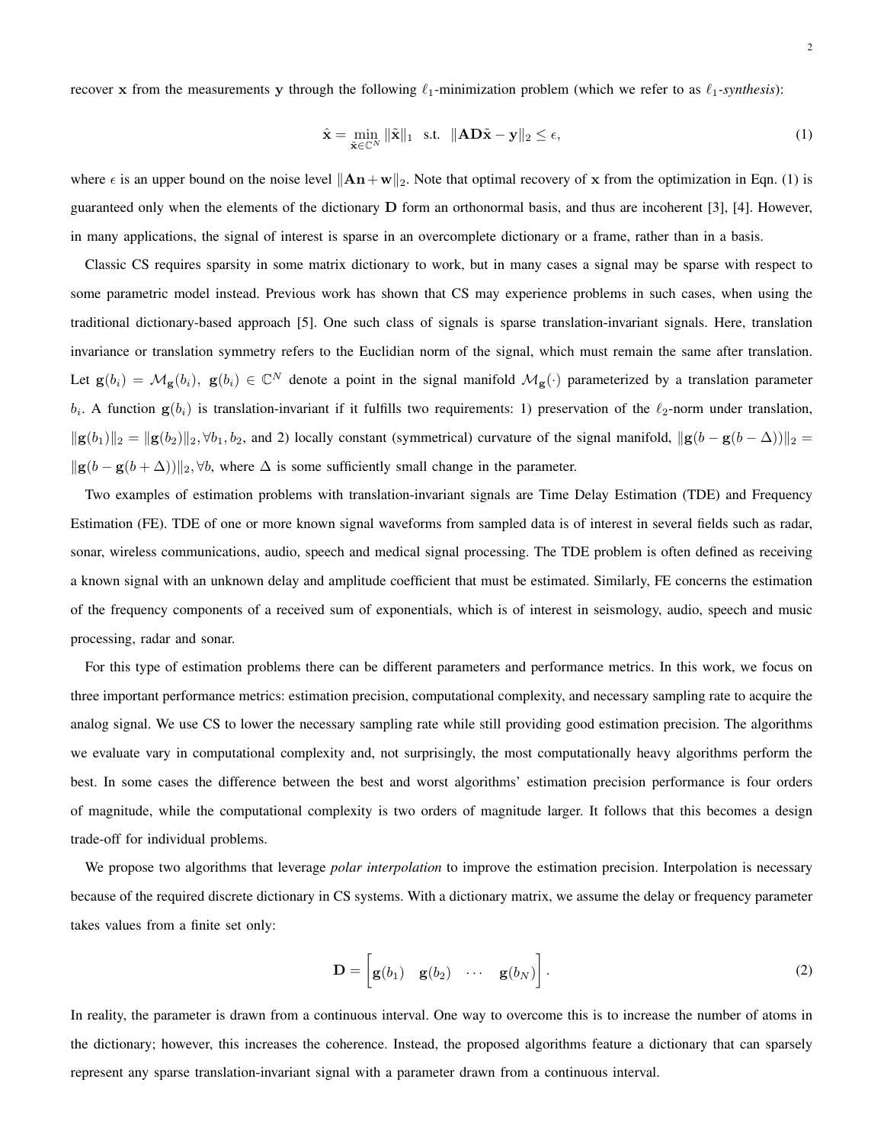recover x from the measurements y through the following  $\ell_1$ -minimization problem (which we refer to as  $\ell_1$ -synthesis):

$$
\hat{\mathbf{x}} = \min_{\tilde{\mathbf{x}} \in \mathbb{C}^N} \|\tilde{\mathbf{x}}\|_1 \quad \text{s.t.} \quad \|\mathbf{A}\mathbf{D}\tilde{\mathbf{x}} - \mathbf{y}\|_2 \le \epsilon,\tag{1}
$$

where  $\epsilon$  is an upper bound on the noise level  $\|\mathbf{A}\mathbf{n}+\mathbf{w}\|_2$ . Note that optimal recovery of x from the optimization in Eqn. (1) is guaranteed only when the elements of the dictionary D form an orthonormal basis, and thus are incoherent [3], [4]. However, in many applications, the signal of interest is sparse in an overcomplete dictionary or a frame, rather than in a basis.

Classic CS requires sparsity in some matrix dictionary to work, but in many cases a signal may be sparse with respect to some parametric model instead. Previous work has shown that CS may experience problems in such cases, when using the traditional dictionary-based approach [5]. One such class of signals is sparse translation-invariant signals. Here, translation invariance or translation symmetry refers to the Euclidian norm of the signal, which must remain the same after translation. Let  $g(b_i) = M_g(b_i), g(b_i) \in \mathbb{C}^N$  denote a point in the signal manifold  $M_g(\cdot)$  parameterized by a translation parameter  $b_i$ . A function  $g(b_i)$  is translation-invariant if it fulfills two requirements: 1) preservation of the  $\ell_2$ -norm under translation,  $\|\mathbf{g}(b_1)\|_2 = \|\mathbf{g}(b_2)\|_2$ ,  $\forall b_1, b_2$ , and 2) locally constant (symmetrical) curvature of the signal manifold,  $\|\mathbf{g}(b - \mathbf{g}(b - \Delta))\|_2$  =  $\|\mathbf{g}(b - \mathbf{g}(b + \Delta))\|_2$ ,  $\forall b$ , where  $\Delta$  is some sufficiently small change in the parameter.

Two examples of estimation problems with translation-invariant signals are Time Delay Estimation (TDE) and Frequency Estimation (FE). TDE of one or more known signal waveforms from sampled data is of interest in several fields such as radar, sonar, wireless communications, audio, speech and medical signal processing. The TDE problem is often defined as receiving a known signal with an unknown delay and amplitude coefficient that must be estimated. Similarly, FE concerns the estimation of the frequency components of a received sum of exponentials, which is of interest in seismology, audio, speech and music processing, radar and sonar.

For this type of estimation problems there can be different parameters and performance metrics. In this work, we focus on three important performance metrics: estimation precision, computational complexity, and necessary sampling rate to acquire the analog signal. We use CS to lower the necessary sampling rate while still providing good estimation precision. The algorithms we evaluate vary in computational complexity and, not surprisingly, the most computationally heavy algorithms perform the best. In some cases the difference between the best and worst algorithms' estimation precision performance is four orders of magnitude, while the computational complexity is two orders of magnitude larger. It follows that this becomes a design trade-off for individual problems.

We propose two algorithms that leverage *polar interpolation* to improve the estimation precision. Interpolation is necessary because of the required discrete dictionary in CS systems. With a dictionary matrix, we assume the delay or frequency parameter takes values from a finite set only:

$$
\mathbf{D} = \begin{bmatrix} \mathbf{g}(b_1) & \mathbf{g}(b_2) & \cdots & \mathbf{g}(b_N) \end{bmatrix}.
$$
 (2)

In reality, the parameter is drawn from a continuous interval. One way to overcome this is to increase the number of atoms in the dictionary; however, this increases the coherence. Instead, the proposed algorithms feature a dictionary that can sparsely represent any sparse translation-invariant signal with a parameter drawn from a continuous interval.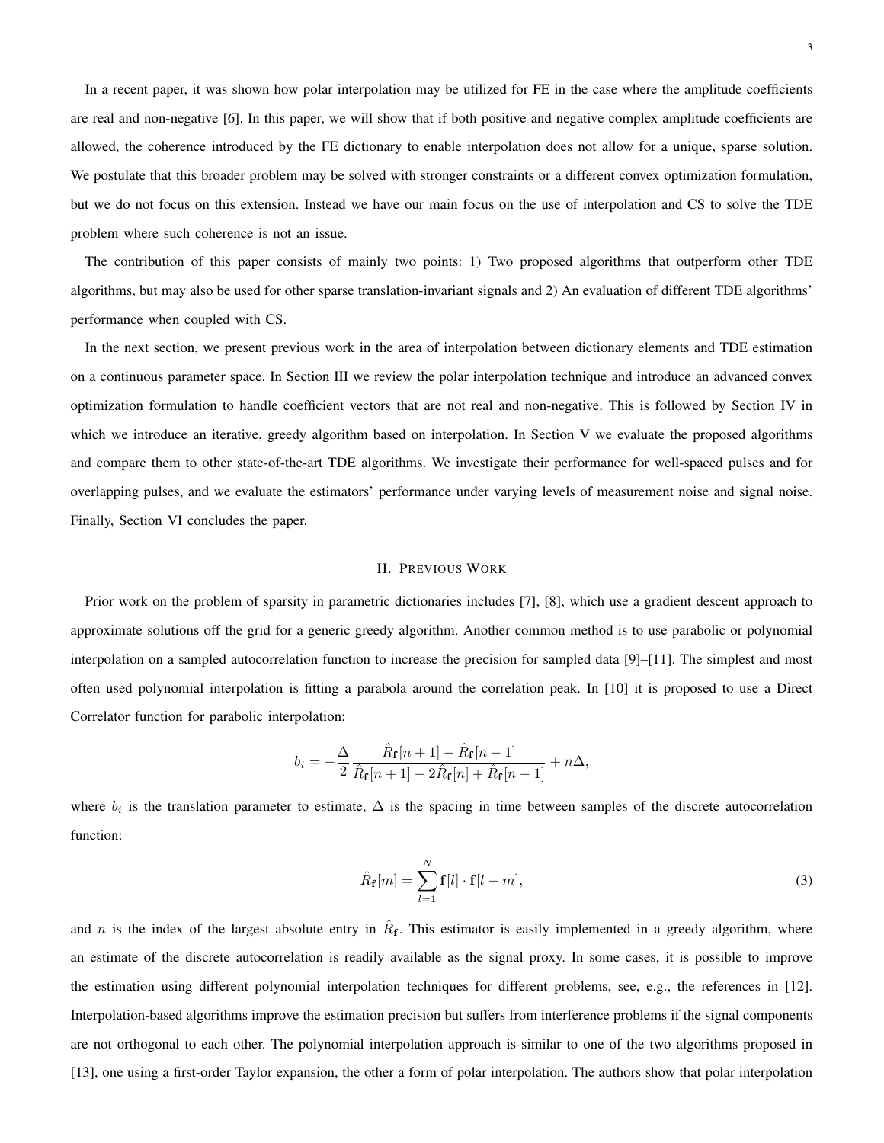In a recent paper, it was shown how polar interpolation may be utilized for FE in the case where the amplitude coefficients are real and non-negative [6]. In this paper, we will show that if both positive and negative complex amplitude coefficients are allowed, the coherence introduced by the FE dictionary to enable interpolation does not allow for a unique, sparse solution. We postulate that this broader problem may be solved with stronger constraints or a different convex optimization formulation, but we do not focus on this extension. Instead we have our main focus on the use of interpolation and CS to solve the TDE problem where such coherence is not an issue.

The contribution of this paper consists of mainly two points: 1) Two proposed algorithms that outperform other TDE algorithms, but may also be used for other sparse translation-invariant signals and 2) An evaluation of different TDE algorithms' performance when coupled with CS.

In the next section, we present previous work in the area of interpolation between dictionary elements and TDE estimation on a continuous parameter space. In Section III we review the polar interpolation technique and introduce an advanced convex optimization formulation to handle coefficient vectors that are not real and non-negative. This is followed by Section IV in which we introduce an iterative, greedy algorithm based on interpolation. In Section V we evaluate the proposed algorithms and compare them to other state-of-the-art TDE algorithms. We investigate their performance for well-spaced pulses and for overlapping pulses, and we evaluate the estimators' performance under varying levels of measurement noise and signal noise. Finally, Section VI concludes the paper.

# II. PREVIOUS WORK

Prior work on the problem of sparsity in parametric dictionaries includes [7], [8], which use a gradient descent approach to approximate solutions off the grid for a generic greedy algorithm. Another common method is to use parabolic or polynomial interpolation on a sampled autocorrelation function to increase the precision for sampled data [9]–[11]. The simplest and most often used polynomial interpolation is fitting a parabola around the correlation peak. In [10] it is proposed to use a Direct Correlator function for parabolic interpolation:

$$
b_i = -\frac{\Delta}{2} \frac{\hat{R}_{\mathbf{f}}[n+1] - \hat{R}_{\mathbf{f}}[n-1]}{\hat{R}_{\mathbf{f}}[n+1] - 2\hat{R}_{\mathbf{f}}[n] + \hat{R}_{\mathbf{f}}[n-1]} + n\Delta,
$$

where  $b_i$  is the translation parameter to estimate,  $\Delta$  is the spacing in time between samples of the discrete autocorrelation function:

$$
\hat{R}_{\mathbf{f}}[m] = \sum_{l=1}^{N} \mathbf{f}[l] \cdot \mathbf{f}[l-m],\tag{3}
$$

and *n* is the index of the largest absolute entry in  $\hat{R}_f$ . This estimator is easily implemented in a greedy algorithm, where an estimate of the discrete autocorrelation is readily available as the signal proxy. In some cases, it is possible to improve the estimation using different polynomial interpolation techniques for different problems, see, e.g., the references in [12]. Interpolation-based algorithms improve the estimation precision but suffers from interference problems if the signal components are not orthogonal to each other. The polynomial interpolation approach is similar to one of the two algorithms proposed in [13], one using a first-order Taylor expansion, the other a form of polar interpolation. The authors show that polar interpolation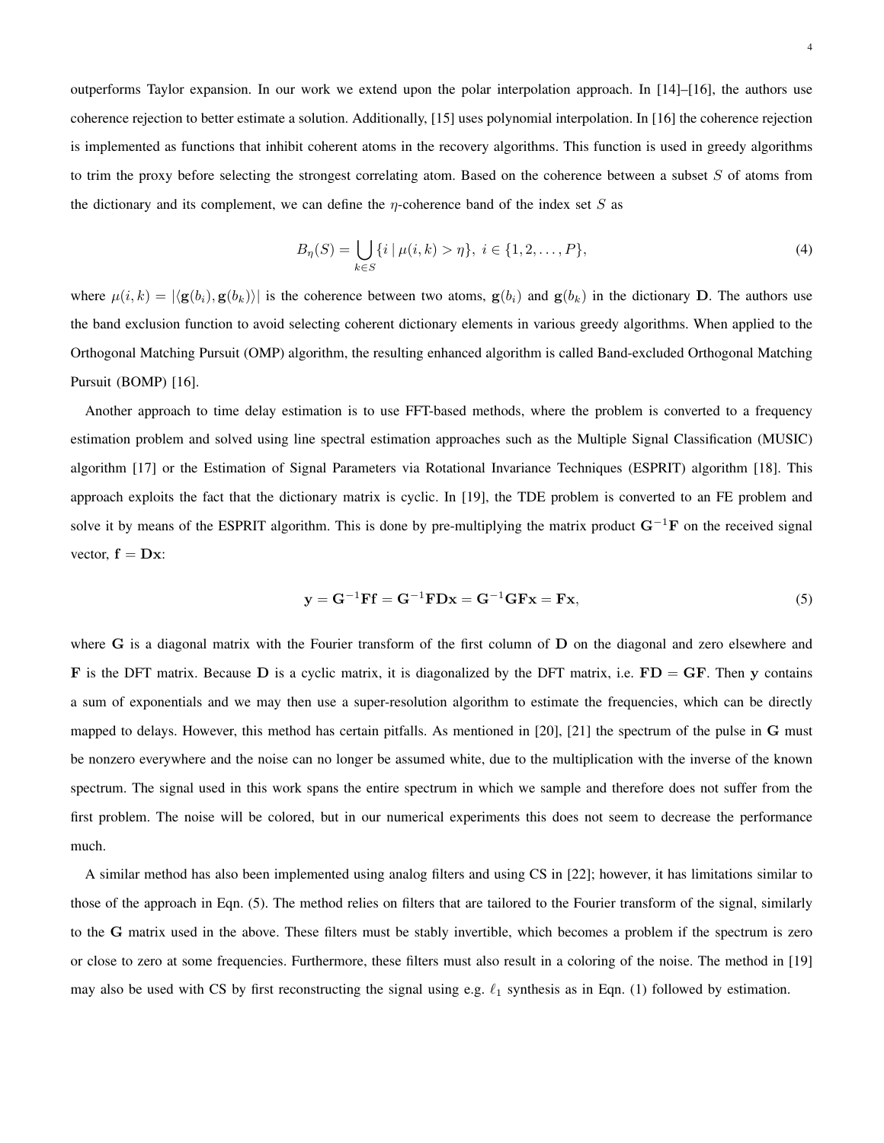outperforms Taylor expansion. In our work we extend upon the polar interpolation approach. In [14]–[16], the authors use coherence rejection to better estimate a solution. Additionally, [15] uses polynomial interpolation. In [16] the coherence rejection is implemented as functions that inhibit coherent atoms in the recovery algorithms. This function is used in greedy algorithms to trim the proxy before selecting the strongest correlating atom. Based on the coherence between a subset  $S$  of atoms from the dictionary and its complement, we can define the  $\eta$ -coherence band of the index set S as

$$
B_{\eta}(S) = \bigcup_{k \in S} \{i \mid \mu(i,k) > \eta\}, \ i \in \{1, 2, \dots, P\},\tag{4}
$$

where  $\mu(i, k) = |\langle g(b_i), g(b_k) \rangle|$  is the coherence between two atoms,  $g(b_i)$  and  $g(b_k)$  in the dictionary D. The authors use the band exclusion function to avoid selecting coherent dictionary elements in various greedy algorithms. When applied to the Orthogonal Matching Pursuit (OMP) algorithm, the resulting enhanced algorithm is called Band-excluded Orthogonal Matching Pursuit (BOMP) [16].

Another approach to time delay estimation is to use FFT-based methods, where the problem is converted to a frequency estimation problem and solved using line spectral estimation approaches such as the Multiple Signal Classification (MUSIC) algorithm [17] or the Estimation of Signal Parameters via Rotational Invariance Techniques (ESPRIT) algorithm [18]. This approach exploits the fact that the dictionary matrix is cyclic. In [19], the TDE problem is converted to an FE problem and solve it by means of the ESPRIT algorithm. This is done by pre-multiplying the matrix product G<sup>-1</sup>F on the received signal vector,  $f = Dx$ :

$$
\mathbf{y} = \mathbf{G}^{-1} \mathbf{F} \mathbf{f} = \mathbf{G}^{-1} \mathbf{F} \mathbf{D} \mathbf{x} = \mathbf{G}^{-1} \mathbf{G} \mathbf{F} \mathbf{x} = \mathbf{F} \mathbf{x},\tag{5}
$$

where G is a diagonal matrix with the Fourier transform of the first column of D on the diagonal and zero elsewhere and **F** is the DFT matrix. Because **D** is a cyclic matrix, it is diagonalized by the DFT matrix, i.e.  $FD = GF$ . Then y contains a sum of exponentials and we may then use a super-resolution algorithm to estimate the frequencies, which can be directly mapped to delays. However, this method has certain pitfalls. As mentioned in [20], [21] the spectrum of the pulse in G must be nonzero everywhere and the noise can no longer be assumed white, due to the multiplication with the inverse of the known spectrum. The signal used in this work spans the entire spectrum in which we sample and therefore does not suffer from the first problem. The noise will be colored, but in our numerical experiments this does not seem to decrease the performance much.

A similar method has also been implemented using analog filters and using CS in [22]; however, it has limitations similar to those of the approach in Eqn. (5). The method relies on filters that are tailored to the Fourier transform of the signal, similarly to the G matrix used in the above. These filters must be stably invertible, which becomes a problem if the spectrum is zero or close to zero at some frequencies. Furthermore, these filters must also result in a coloring of the noise. The method in [19] may also be used with CS by first reconstructing the signal using e.g.  $\ell_1$  synthesis as in Eqn. (1) followed by estimation.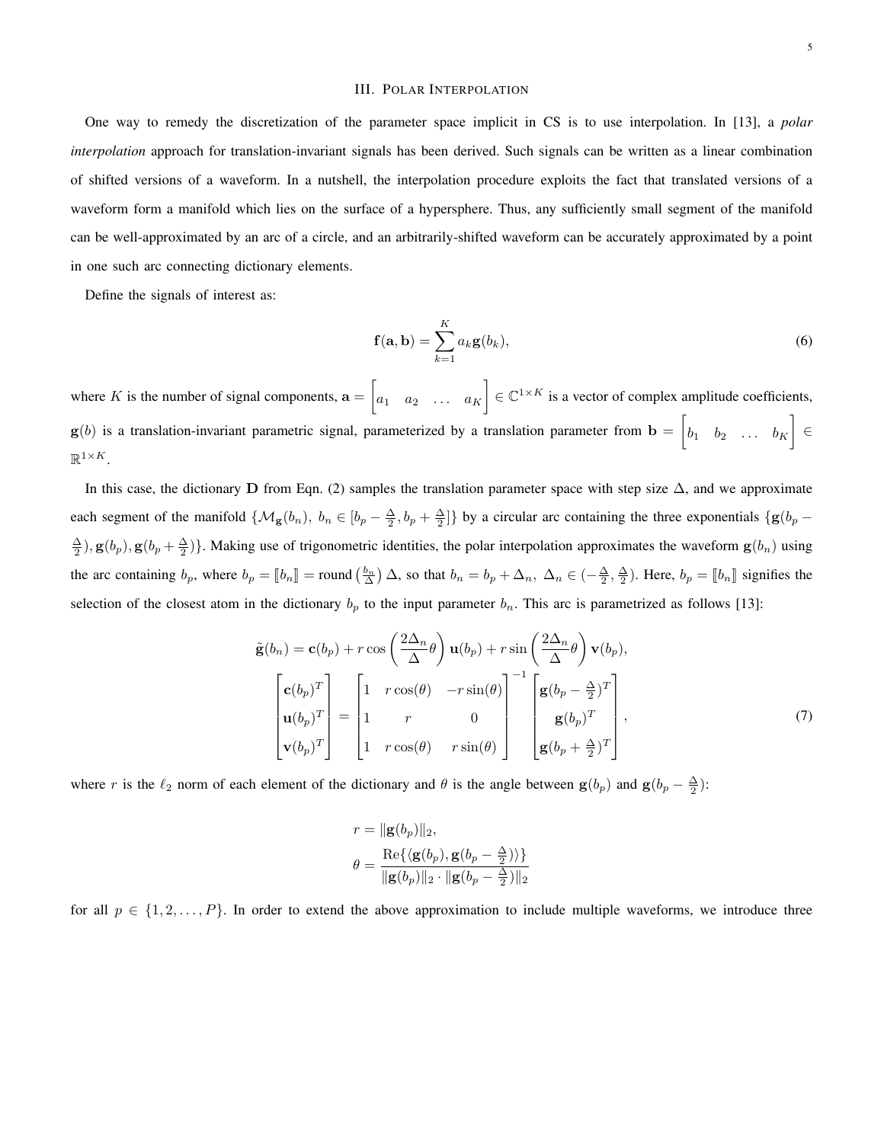#### III. POLAR INTERPOLATION

One way to remedy the discretization of the parameter space implicit in CS is to use interpolation. In [13], a *polar interpolation* approach for translation-invariant signals has been derived. Such signals can be written as a linear combination of shifted versions of a waveform. In a nutshell, the interpolation procedure exploits the fact that translated versions of a waveform form a manifold which lies on the surface of a hypersphere. Thus, any sufficiently small segment of the manifold can be well-approximated by an arc of a circle, and an arbitrarily-shifted waveform can be accurately approximated by a point in one such arc connecting dictionary elements.

Define the signals of interest as:

$$
\mathbf{f}(\mathbf{a}, \mathbf{b}) = \sum_{k=1}^{K} a_k \mathbf{g}(b_k),
$$
\n(6)

where K is the number of signal components,  $\mathbf{a} = \begin{bmatrix} a & b \\ c & d \end{bmatrix}$  $a_1 \quad a_2 \quad \ldots \quad a_K$  $\left[ \right] \in \mathbb{C}^{1 \times K}$  is a vector of complex amplitude coefficients,  $g(b)$  is a translation-invariant parametric signal, parameterized by a translation parameter from  $\mathbf{b} = \begin{bmatrix} 1 & 0 & 0 \\ 0 & 1 & 0 \\ 0 & 0 & 0 \end{bmatrix}$  $b_1$   $b_2$  ...  $b_K$  ∈  $\mathbb{R}^{1\times K}$ .

In this case, the dictionary D from Eqn. (2) samples the translation parameter space with step size  $\Delta$ , and we approximate each segment of the manifold  $\{M_{\bf g}(b_n), b_n \in [b_p - \frac{\Delta}{2}, b_p + \frac{\Delta}{2}]\}$  by a circular arc containing the three exponentials  $\{ {\bf g}(b_p - \Delta) \}$  $\frac{\Delta}{2}$ ),  $g(b_p)$ ,  $g(b_p + \frac{\Delta}{2})$ . Making use of trigonometric identities, the polar interpolation approximates the waveform  $g(b_n)$  using the arc containing  $b_p$ , where  $b_p = [b_n] =$  round  $(\frac{b_n}{\Delta}) \Delta$ , so that  $b_n = b_p + \Delta_n$ ,  $\Delta_n \in (-\frac{\Delta}{2}, \frac{\Delta}{2})$ . Here,  $b_p = [b_n]$  signifies the selection of the closest atom in the dictionary  $b_p$  to the input parameter  $b_n$ . This arc is parametrized as follows [13]:

$$
\tilde{\mathbf{g}}(b_n) = \mathbf{c}(b_p) + r \cos\left(\frac{2\Delta_n}{\Delta}\theta\right) \mathbf{u}(b_p) + r \sin\left(\frac{2\Delta_n}{\Delta}\theta\right) \mathbf{v}(b_p),
$$
\n
$$
\begin{bmatrix}\n\mathbf{c}(b_p)^T \\
\mathbf{u}(b_p)^T \\
\mathbf{v}(b_p)^T\n\end{bmatrix} = \begin{bmatrix}\n1 & r \cos(\theta) & -r \sin(\theta) \\
1 & r & 0 \\
1 & r \cos(\theta) & r \sin(\theta)\n\end{bmatrix}^{-1} \begin{bmatrix}\n\mathbf{g}(b_p - \frac{\Delta}{2})^T \\
\mathbf{g}(b_p)^T \\
\mathbf{g}(b_p + \frac{\Delta}{2})^T\n\end{bmatrix},
$$
\n(7)

where r is the  $\ell_2$  norm of each element of the dictionary and  $\theta$  is the angle between  $\mathbf{g}(b_p)$  and  $\mathbf{g}(b_p - \frac{\Delta}{2})$ :

$$
r = \|\mathbf{g}(b_p)\|_2,
$$
  

$$
\theta = \frac{\text{Re}\{\langle \mathbf{g}(b_p), \mathbf{g}(b_p - \frac{\Delta}{2})\rangle\}}{\|\mathbf{g}(b_p)\|_2 \cdot \|\mathbf{g}(b_p - \frac{\Delta}{2})\|_2}
$$

for all  $p \in \{1, 2, \ldots, P\}$ . In order to extend the above approximation to include multiple waveforms, we introduce three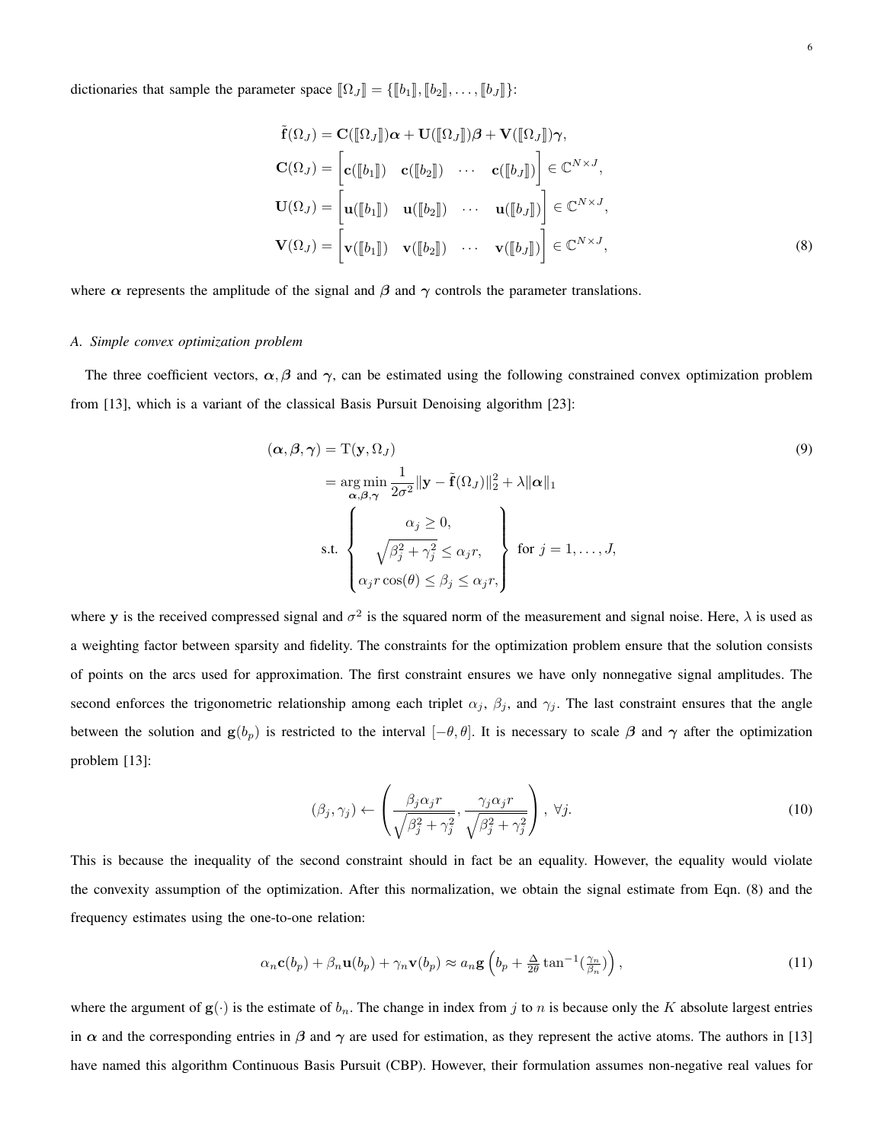dictionaries that sample the parameter space  $[\![\Omega_J]\!] = \{ [\![b_1]\!], [\![b_2]\!], \ldots, [\![b_J]\!] \}$ :

$$
\tilde{\mathbf{f}}(\Omega_J) = \mathbf{C}([\![\Omega_J]\!])\boldsymbol{\alpha} + \mathbf{U}([\![\Omega_J]\!])\boldsymbol{\beta} + \mathbf{V}([\![\Omega_J]\!])\boldsymbol{\gamma},
$$
\n
$$
\mathbf{C}(\Omega_J) = \begin{bmatrix} \mathbf{c}([\![b_1]\!]) & \mathbf{c}([\![b_2]\!]) & \cdots & \mathbf{c}([\![b_J]\!]) \end{bmatrix} \in \mathbb{C}^{N \times J},
$$
\n
$$
\mathbf{U}(\Omega_J) = \begin{bmatrix} \mathbf{u}([\![b_1]\!]) & \mathbf{u}([\![b_2]\!]) & \cdots & \mathbf{u}([\![b_J]\!]) \end{bmatrix} \in \mathbb{C}^{N \times J},
$$
\n
$$
\mathbf{V}(\Omega_J) = \begin{bmatrix} \mathbf{v}([\![b_1]\!]) & \mathbf{v}([\![b_2]\!]) & \cdots & \mathbf{v}([\![b_J]\!]) \end{bmatrix} \in \mathbb{C}^{N \times J},
$$
\n(8)

where  $\alpha$  represents the amplitude of the signal and  $\beta$  and  $\gamma$  controls the parameter translations.

# *A. Simple convex optimization problem*

The three coefficient vectors,  $\alpha$ ,  $\beta$  and  $\gamma$ , can be estimated using the following constrained convex optimization problem from [13], which is a variant of the classical Basis Pursuit Denoising algorithm [23]:

$$
(\alpha, \beta, \gamma) = \mathcal{T}(\mathbf{y}, \Omega_J)
$$
  
\n
$$
= \underset{\alpha, \beta, \gamma}{\arg \min} \frac{1}{2\sigma^2} \|\mathbf{y} - \tilde{\mathbf{f}}(\Omega_J)\|_2^2 + \lambda \|\alpha\|_1
$$
  
\ns.t.  
\n
$$
\begin{cases}\n\alpha_j \ge 0, \\
\sqrt{\beta_j^2 + \gamma_j^2} \le \alpha_j r, \\
\alpha_j r \cos(\theta) \le \beta_j \le \alpha_j r,\n\end{cases} \text{ for } j = 1, ..., J,
$$
\n(9)

where y is the received compressed signal and  $\sigma^2$  is the squared norm of the measurement and signal noise. Here,  $\lambda$  is used as a weighting factor between sparsity and fidelity. The constraints for the optimization problem ensure that the solution consists of points on the arcs used for approximation. The first constraint ensures we have only nonnegative signal amplitudes. The second enforces the trigonometric relationship among each triplet  $\alpha_j$ ,  $\beta_j$ , and  $\gamma_j$ . The last constraint ensures that the angle between the solution and  $g(b_p)$  is restricted to the interval  $[-\theta, \theta]$ . It is necessary to scale  $\beta$  and  $\gamma$  after the optimization problem [13]:

$$
(\beta_j, \gamma_j) \leftarrow \left( \frac{\beta_j \alpha_j r}{\sqrt{\beta_j^2 + \gamma_j^2}}, \frac{\gamma_j \alpha_j r}{\sqrt{\beta_j^2 + \gamma_j^2}} \right), \ \forall j.
$$
\n(10)

This is because the inequality of the second constraint should in fact be an equality. However, the equality would violate the convexity assumption of the optimization. After this normalization, we obtain the signal estimate from Eqn. (8) and the frequency estimates using the one-to-one relation:

$$
\alpha_n \mathbf{c}(b_p) + \beta_n \mathbf{u}(b_p) + \gamma_n \mathbf{v}(b_p) \approx a_n \mathbf{g}\left(b_p + \frac{\Delta}{2\theta} \tan^{-1}(\frac{\gamma_n}{\beta_n})\right),\tag{11}
$$

where the argument of  $g(\cdot)$  is the estimate of  $b_n$ . The change in index from j to n is because only the K absolute largest entries in  $\alpha$  and the corresponding entries in  $\beta$  and  $\gamma$  are used for estimation, as they represent the active atoms. The authors in [13] have named this algorithm Continuous Basis Pursuit (CBP). However, their formulation assumes non-negative real values for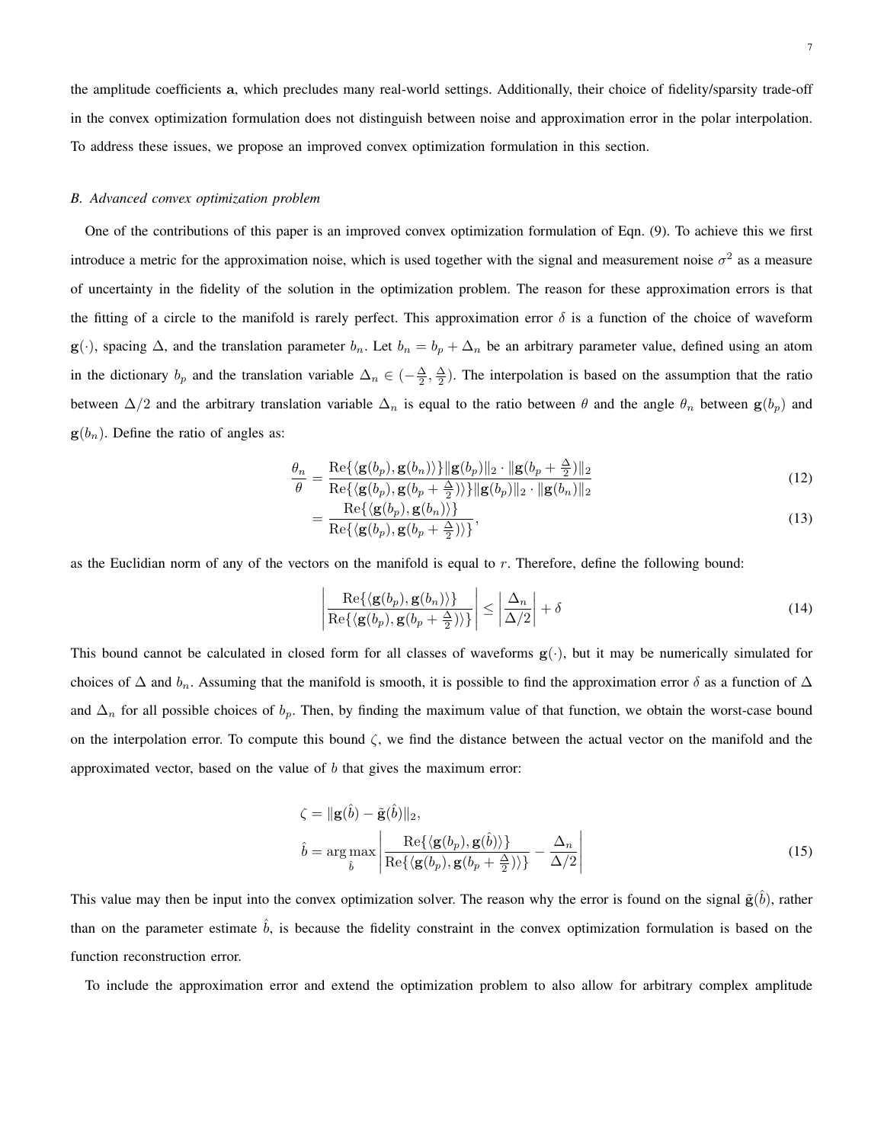the amplitude coefficients a, which precludes many real-world settings. Additionally, their choice of fidelity/sparsity trade-off in the convex optimization formulation does not distinguish between noise and approximation error in the polar interpolation. To address these issues, we propose an improved convex optimization formulation in this section.

# *B. Advanced convex optimization problem*

One of the contributions of this paper is an improved convex optimization formulation of Eqn. (9). To achieve this we first introduce a metric for the approximation noise, which is used together with the signal and measurement noise  $\sigma^2$  as a measure of uncertainty in the fidelity of the solution in the optimization problem. The reason for these approximation errors is that the fitting of a circle to the manifold is rarely perfect. This approximation error  $\delta$  is a function of the choice of waveform  $g(\cdot)$ , spacing  $\Delta$ , and the translation parameter  $b_n$ . Let  $b_n = b_p + \Delta_n$  be an arbitrary parameter value, defined using an atom in the dictionary  $b_p$  and the translation variable  $\Delta_n \in (-\frac{\Delta}{2}, \frac{\Delta}{2})$ . The interpolation is based on the assumption that the ratio between  $\Delta/2$  and the arbitrary translation variable  $\Delta_n$  is equal to the ratio between  $\theta$  and the angle  $\theta_n$  between  $g(b_p)$  and  $g(b_n)$ . Define the ratio of angles as:

$$
\frac{\theta_n}{\theta} = \frac{\text{Re}\{\langle \mathbf{g}(b_p), \mathbf{g}(b_n)\rangle\} \|\mathbf{g}(b_p)\|_2 \cdot \|\mathbf{g}(b_p + \frac{\Delta}{2})\|_2}{\text{Ro}(f(\mathbf{g}(b)) \mathbf{g}(b) + \frac{\Delta}{2}) \|\mathbf{g}(b_p)\|_2 \cdot \|\mathbf{g}(b_p)\|_2}
$$
(12)

$$
\theta = \text{Re}\{\langle \mathbf{g}(b_p), \mathbf{g}(b_p + \frac{\Delta}{2})\rangle\} \|\mathbf{g}(b_p)\|_2 \cdot \|\mathbf{g}(b_n)\|_2
$$
  
= 
$$
\frac{\text{Re}\{\langle \mathbf{g}(b_p), \mathbf{g}(b_n)\rangle\}}{\sum_{i=1}^n \langle \langle \mathbf{g}(b_i), \mathbf{g}(b_n) \rangle \langle \langle \mathbf{g}(b_n), \mathbf{g}(b_n) \rangle \rangle},
$$
(13)

$$
= \frac{\operatorname{nc}(\mathbf{S}(\mathbf{v}_p), \mathbf{S}(\mathbf{v}_n))}{\operatorname{Re}\{\langle \mathbf{g}(b_p), \mathbf{g}(b_p + \frac{\Delta}{2})\rangle\}},\tag{13}
$$

as the Euclidian norm of any of the vectors on the manifold is equal to r. Therefore, define the following bound:

$$
\left| \frac{\text{Re}\{\langle \mathbf{g}(b_p), \mathbf{g}(b_n)\rangle\}}{\text{Re}\{\langle \mathbf{g}(b_p), \mathbf{g}(b_p + \frac{\Delta}{2})\rangle\}} \right| \le \left| \frac{\Delta_n}{\Delta/2} \right| + \delta
$$
\n(14)

This bound cannot be calculated in closed form for all classes of waveforms  $g(\cdot)$ , but it may be numerically simulated for choices of  $\Delta$  and  $b_n$ . Assuming that the manifold is smooth, it is possible to find the approximation error  $\delta$  as a function of  $\Delta$ and  $\Delta_n$  for all possible choices of  $b_p$ . Then, by finding the maximum value of that function, we obtain the worst-case bound on the interpolation error. To compute this bound  $\zeta$ , we find the distance between the actual vector on the manifold and the approximated vector, based on the value of  $b$  that gives the maximum error:

$$
\zeta = \|\mathbf{g}(\hat{b}) - \tilde{\mathbf{g}}(\hat{b})\|_2,
$$
\n
$$
\hat{b} = \arg \max_{\hat{b}} \left| \frac{\text{Re}\{\langle \mathbf{g}(b_p), \mathbf{g}(\hat{b}) \rangle\}}{\text{Re}\{\langle \mathbf{g}(b_p), \mathbf{g}(b_p + \frac{\Delta}{2}) \rangle\}} - \frac{\Delta_n}{\Delta/2} \right|
$$
\n(15)

This value may then be input into the convex optimization solver. The reason why the error is found on the signal  $\tilde{\mathbf{g}}(\hat{b})$ , rather than on the parameter estimate  $\hat{b}$ , is because the fidelity constraint in the convex optimization formulation is based on the function reconstruction error.

To include the approximation error and extend the optimization problem to also allow for arbitrary complex amplitude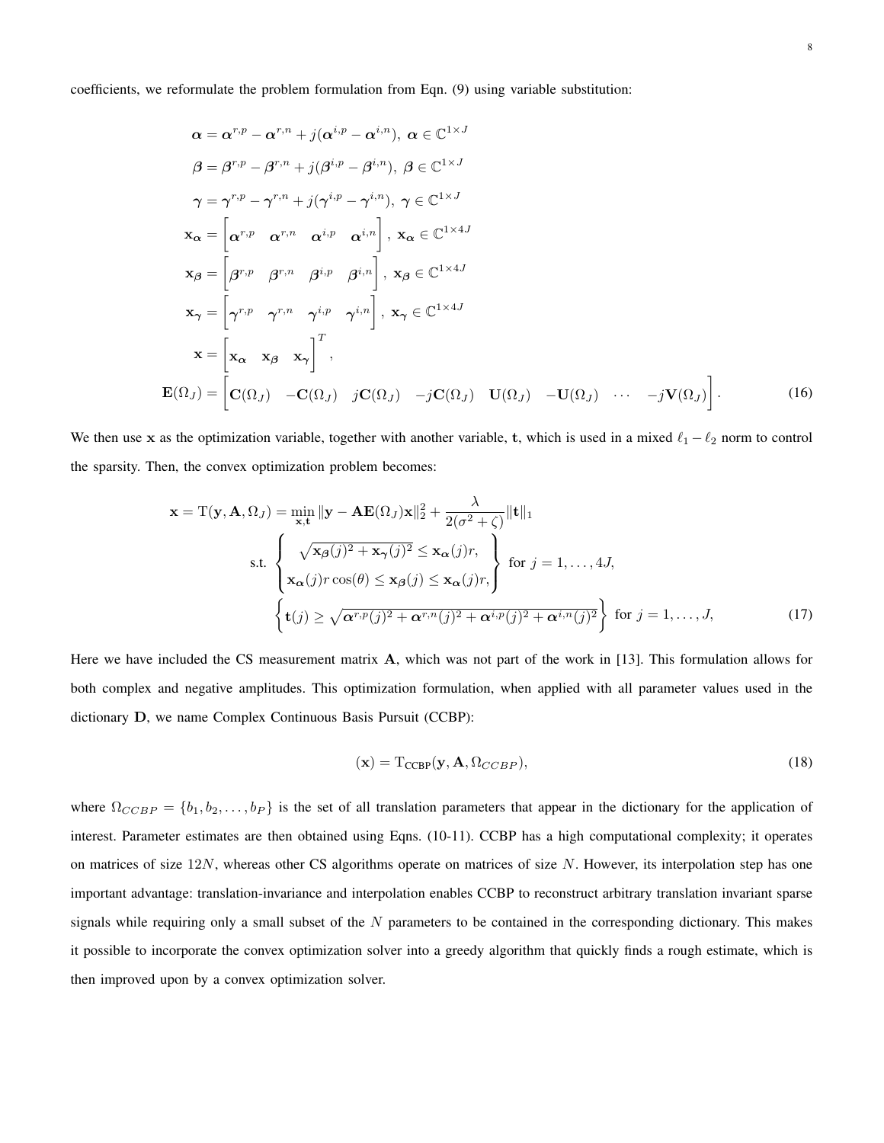coefficients, we reformulate the problem formulation from Eqn. (9) using variable substitution:

$$
\alpha = \alpha^{r,p} - \alpha^{r,n} + j(\alpha^{i,p} - \alpha^{i,n}), \ \alpha \in \mathbb{C}^{1 \times J}
$$
\n
$$
\beta = \beta^{r,p} - \beta^{r,n} + j(\beta^{i,p} - \beta^{i,n}), \ \beta \in \mathbb{C}^{1 \times J}
$$
\n
$$
\gamma = \gamma^{r,p} - \gamma^{r,n} + j(\gamma^{i,p} - \gamma^{i,n}), \ \gamma \in \mathbb{C}^{1 \times J}
$$
\n
$$
\mathbf{x}_{\alpha} = \begin{bmatrix} \alpha^{r,p} & \alpha^{r,n} & \alpha^{i,p} & \alpha^{i,n} \end{bmatrix}, \ \mathbf{x}_{\alpha} \in \mathbb{C}^{1 \times J}
$$
\n
$$
\mathbf{x}_{\beta} = \begin{bmatrix} \beta^{r,p} & \beta^{r,n} & \beta^{i,p} & \beta^{i,n} \end{bmatrix}, \ \mathbf{x}_{\beta} \in \mathbb{C}^{1 \times 4J}
$$
\n
$$
\mathbf{x}_{\gamma} = \begin{bmatrix} \gamma^{r,p} & \gamma^{r,n} & \gamma^{i,p} & \gamma^{i,n} \end{bmatrix}, \ \mathbf{x}_{\gamma} \in \mathbb{C}^{1 \times 4J}
$$
\n
$$
\mathbf{x} = \begin{bmatrix} \mathbf{x}_{\alpha} & \mathbf{x}_{\beta} & \mathbf{x}_{\gamma} \end{bmatrix}^{T},
$$
\n
$$
\mathbf{E}(\Omega_{J}) = \begin{bmatrix} \mathbf{C}(\Omega_{J}) & -\mathbf{C}(\Omega_{J}) & j\mathbf{C}(\Omega_{J}) & -j\mathbf{C}(\Omega_{J}) & \mathbf{U}(\Omega_{J}) & \cdots & -j\mathbf{V}(\Omega_{J}) \end{bmatrix}.
$$
\n(16)

We then use x as the optimization variable, together with another variable, t, which is used in a mixed  $\ell_1 - \ell_2$  norm to control the sparsity. Then, the convex optimization problem becomes:

$$
\mathbf{x} = \mathbf{T}(\mathbf{y}, \mathbf{A}, \Omega_J) = \min_{\mathbf{x}, \mathbf{t}} \|\mathbf{y} - \mathbf{A} \mathbf{E}(\Omega_J) \mathbf{x}\|_2^2 + \frac{\lambda}{2(\sigma^2 + \zeta)} \|\mathbf{t}\|_1
$$
  
s.t. 
$$
\begin{cases} \sqrt{\mathbf{x}_{\beta}(j)^2 + \mathbf{x}_{\gamma}(j)^2} \le \mathbf{x}_{\alpha}(j)r, \\ \mathbf{x}_{\alpha}(j)r\cos(\theta) \le \mathbf{x}_{\beta}(j) \le \mathbf{x}_{\alpha}(j)r, \end{cases} \text{ for } j = 1, ..., 4J,
$$

$$
\left\{ \mathbf{t}(j) \ge \sqrt{\alpha^{r,p}(j)^2 + \alpha^{r,n}(j)^2 + \alpha^{i,p}(j)^2 + \alpha^{i,n}(j)^2} \right\} \text{ for } j = 1, ..., J,
$$
(17)

Here we have included the CS measurement matrix A, which was not part of the work in [13]. This formulation allows for both complex and negative amplitudes. This optimization formulation, when applied with all parameter values used in the dictionary D, we name Complex Continuous Basis Pursuit (CCBP):

$$
(\mathbf{x}) = T_{CCBP}(\mathbf{y}, \mathbf{A}, \Omega_{CCBP}),
$$
\n(18)

where  $\Omega_{CCBP} = \{b_1, b_2, \ldots, b_P\}$  is the set of all translation parameters that appear in the dictionary for the application of interest. Parameter estimates are then obtained using Eqns. (10-11). CCBP has a high computational complexity; it operates on matrices of size  $12N$ , whereas other CS algorithms operate on matrices of size N. However, its interpolation step has one important advantage: translation-invariance and interpolation enables CCBP to reconstruct arbitrary translation invariant sparse signals while requiring only a small subset of the  $N$  parameters to be contained in the corresponding dictionary. This makes it possible to incorporate the convex optimization solver into a greedy algorithm that quickly finds a rough estimate, which is then improved upon by a convex optimization solver.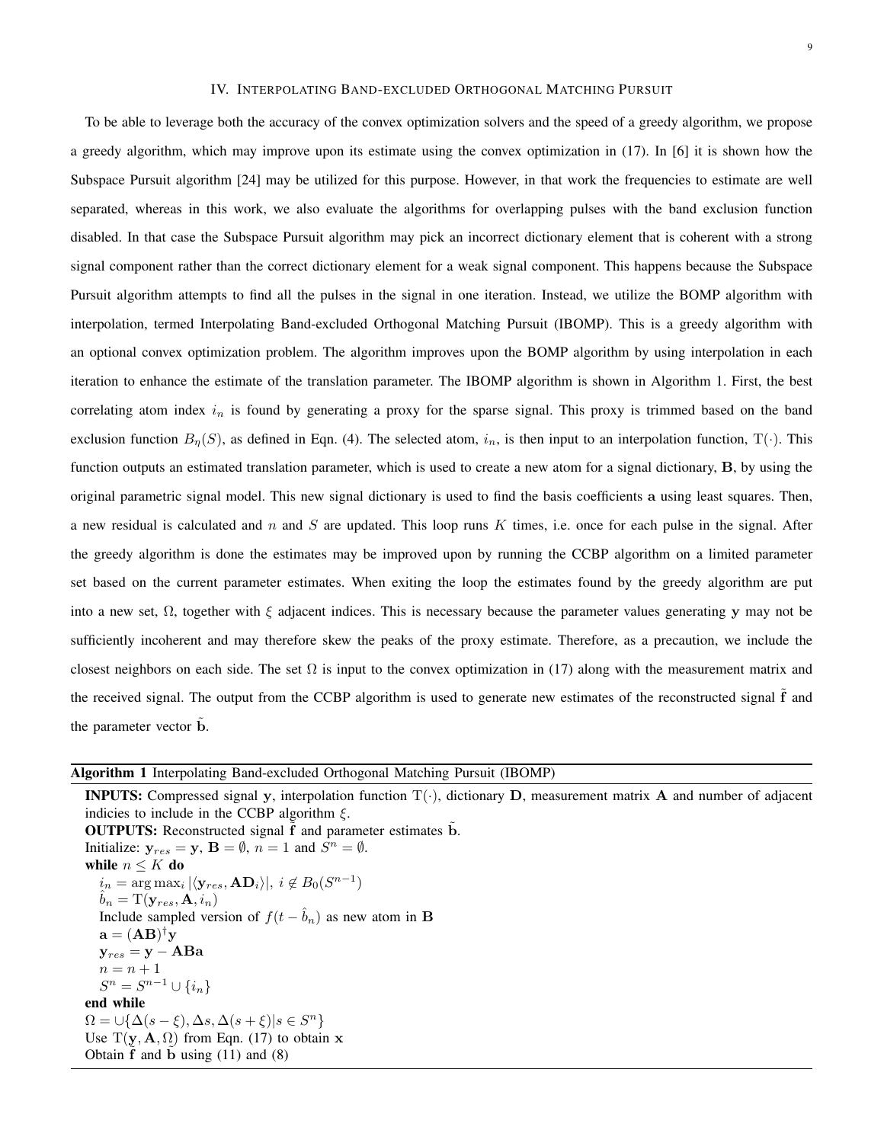# IV. INTERPOLATING BAND-EXCLUDED ORTHOGONAL MATCHING PURSUIT

To be able to leverage both the accuracy of the convex optimization solvers and the speed of a greedy algorithm, we propose a greedy algorithm, which may improve upon its estimate using the convex optimization in (17). In [6] it is shown how the Subspace Pursuit algorithm [24] may be utilized for this purpose. However, in that work the frequencies to estimate are well separated, whereas in this work, we also evaluate the algorithms for overlapping pulses with the band exclusion function disabled. In that case the Subspace Pursuit algorithm may pick an incorrect dictionary element that is coherent with a strong signal component rather than the correct dictionary element for a weak signal component. This happens because the Subspace Pursuit algorithm attempts to find all the pulses in the signal in one iteration. Instead, we utilize the BOMP algorithm with interpolation, termed Interpolating Band-excluded Orthogonal Matching Pursuit (IBOMP). This is a greedy algorithm with an optional convex optimization problem. The algorithm improves upon the BOMP algorithm by using interpolation in each iteration to enhance the estimate of the translation parameter. The IBOMP algorithm is shown in Algorithm 1. First, the best correlating atom index  $i_n$  is found by generating a proxy for the sparse signal. This proxy is trimmed based on the band exclusion function  $B_n(S)$ , as defined in Eqn. (4). The selected atom,  $i_n$ , is then input to an interpolation function, T(·). This function outputs an estimated translation parameter, which is used to create a new atom for a signal dictionary, B, by using the original parametric signal model. This new signal dictionary is used to find the basis coefficients a using least squares. Then, a new residual is calculated and  $n$  and  $S$  are updated. This loop runs  $K$  times, i.e. once for each pulse in the signal. After the greedy algorithm is done the estimates may be improved upon by running the CCBP algorithm on a limited parameter set based on the current parameter estimates. When exiting the loop the estimates found by the greedy algorithm are put into a new set,  $\Omega$ , together with  $\xi$  adjacent indices. This is necessary because the parameter values generating y may not be sufficiently incoherent and may therefore skew the peaks of the proxy estimate. Therefore, as a precaution, we include the closest neighbors on each side. The set  $\Omega$  is input to the convex optimization in (17) along with the measurement matrix and the received signal. The output from the CCBP algorithm is used to generate new estimates of the reconstructed signal  $\hat{f}$  and the parameter vector **b**.

#### Algorithm 1 Interpolating Band-excluded Orthogonal Matching Pursuit (IBOMP)

**INPUTS:** Compressed signal y, interpolation function  $T(\cdot)$ , dictionary D, measurement matrix A and number of adjacent indicies to include in the CCBP algorithm  $\xi$ . OUTPUTS: Reconstructed signal f and parameter estimates b. Initialize:  $y_{res} = y$ ,  $B = \emptyset$ ,  $n = 1$  and  $S^n = \emptyset$ . while  $n \leq K$  do  $i_n = \arg \max_i |\langle \mathbf{y}_{res}, \mathbf{A} \mathbf{D}_i \rangle|, i \notin B_0(S^{n-1})$  $\hat{b}_n = \mathrm{T}(\mathbf{y}_{res}, \mathbf{A}, i_n)$ Include sampled version of  $f(t - \hat{b}_n)$  as new atom in **B**  $\mathbf{a} = (\mathbf{A}\mathbf{B})^{\dagger}\mathbf{y}$  $y_{res} = y - ABa$  $n = n + 1$  $S^n = S^{n-1} \cup \{i_n\}$ end while  $\Omega = \cup \{\Delta(s-\xi), \Delta s, \Delta(s+\xi) | s \in S^n \}$ Use  $T(y, A, \Omega)$  from Eqn. (17) to obtain x Obtain  $f$  and  $b$  using (11) and (8)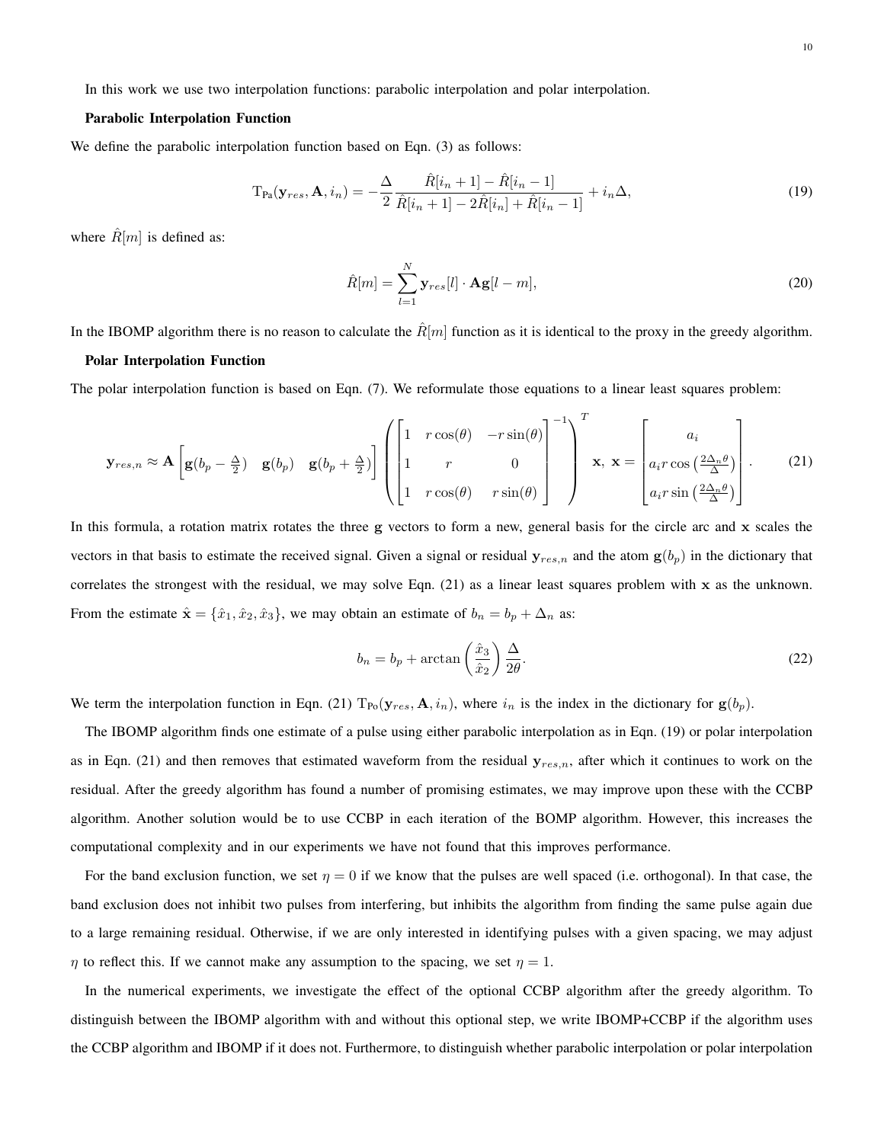# Parabolic Interpolation Function

We define the parabolic interpolation function based on Eqn. (3) as follows:

$$
T_{Pa}(\mathbf{y}_{res}, \mathbf{A}, i_n) = -\frac{\Delta}{2} \frac{\hat{R}[i_n + 1] - \hat{R}[i_n - 1]}{\hat{R}[i_n + 1] - 2\hat{R}[i_n] + \hat{R}[i_n - 1]} + i_n \Delta,
$$
\n(19)

where  $\hat{R}[m]$  is defined as:

$$
\hat{R}[m] = \sum_{l=1}^{N} \mathbf{y}_{res}[l] \cdot \mathbf{A} \mathbf{g}[l-m],\tag{20}
$$

In the IBOMP algorithm there is no reason to calculate the  $\hat{R}[m]$  function as it is identical to the proxy in the greedy algorithm.

# Polar Interpolation Function

The polar interpolation function is based on Eqn. (7). We reformulate those equations to a linear least squares problem:

$$
\mathbf{y}_{res,n} \approx \mathbf{A} \begin{bmatrix} \mathbf{g}(b_p - \frac{\Delta}{2}) & \mathbf{g}(b_p) & \mathbf{g}(b_p + \frac{\Delta}{2}) \end{bmatrix} \left( \begin{bmatrix} 1 & r\cos(\theta) & -r\sin(\theta) \\ 1 & r & 0 \\ 1 & r\cos(\theta) & r\sin(\theta) \end{bmatrix}^{-1} \right)^T \mathbf{x}, \ \mathbf{x} = \begin{bmatrix} a_i \\ a_i r\cos\left(\frac{2\Delta_n \theta}{\Delta}\right) \\ a_i r\sin\left(\frac{2\Delta_n \theta}{\Delta}\right) \end{bmatrix}.
$$
 (21)

In this formula, a rotation matrix rotates the three g vectors to form a new, general basis for the circle arc and  $x$  scales the vectors in that basis to estimate the received signal. Given a signal or residual  $y_{res,n}$  and the atom  $g(b_p)$  in the dictionary that correlates the strongest with the residual, we may solve Eqn. (21) as a linear least squares problem with x as the unknown. From the estimate  $\hat{\mathbf{x}} = \{\hat{x}_1, \hat{x}_2, \hat{x}_3\}$ , we may obtain an estimate of  $b_n = b_p + \Delta_n$  as:

$$
b_n = b_p + \arctan\left(\frac{\hat{x}_3}{\hat{x}_2}\right) \frac{\Delta}{2\theta}.\tag{22}
$$

We term the interpolation function in Eqn. (21)  $T_{Po}(\mathbf{y}_{res}, \mathbf{A}, i_n)$ , where  $i_n$  is the index in the dictionary for  $g(b_p)$ .

The IBOMP algorithm finds one estimate of a pulse using either parabolic interpolation as in Eqn. (19) or polar interpolation as in Eqn. (21) and then removes that estimated waveform from the residual  $y_{res,n}$ , after which it continues to work on the residual. After the greedy algorithm has found a number of promising estimates, we may improve upon these with the CCBP algorithm. Another solution would be to use CCBP in each iteration of the BOMP algorithm. However, this increases the computational complexity and in our experiments we have not found that this improves performance.

For the band exclusion function, we set  $\eta = 0$  if we know that the pulses are well spaced (i.e. orthogonal). In that case, the band exclusion does not inhibit two pulses from interfering, but inhibits the algorithm from finding the same pulse again due to a large remaining residual. Otherwise, if we are only interested in identifying pulses with a given spacing, we may adjust  $\eta$  to reflect this. If we cannot make any assumption to the spacing, we set  $\eta = 1$ .

In the numerical experiments, we investigate the effect of the optional CCBP algorithm after the greedy algorithm. To distinguish between the IBOMP algorithm with and without this optional step, we write IBOMP+CCBP if the algorithm uses the CCBP algorithm and IBOMP if it does not. Furthermore, to distinguish whether parabolic interpolation or polar interpolation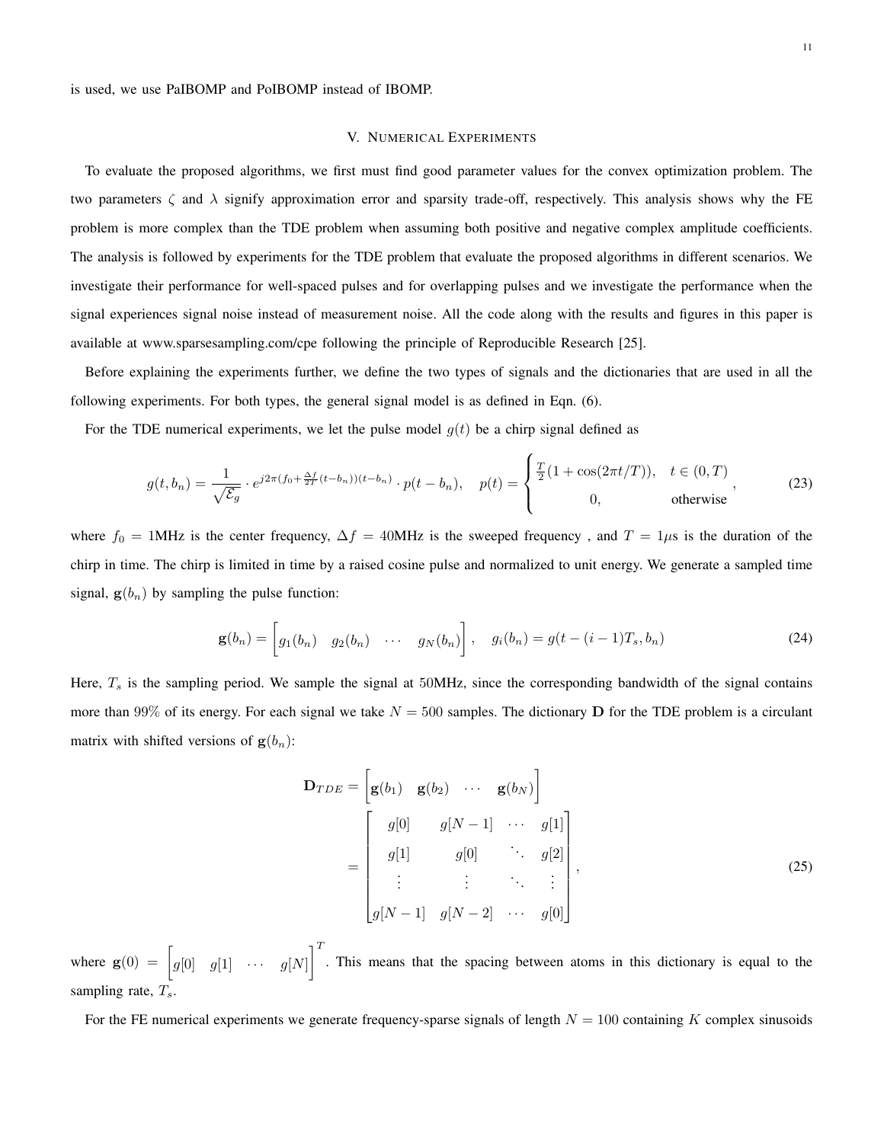#### V. NUMERICAL EXPERIMENTS

To evaluate the proposed algorithms, we first must find good parameter values for the convex optimization problem. The two parameters  $\zeta$  and  $\lambda$  signify approximation error and sparsity trade-off, respectively. This analysis shows why the FE problem is more complex than the TDE problem when assuming both positive and negative complex amplitude coefficients. The analysis is followed by experiments for the TDE problem that evaluate the proposed algorithms in different scenarios. We investigate their performance for well-spaced pulses and for overlapping pulses and we investigate the performance when the signal experiences signal noise instead of measurement noise. All the code along with the results and figures in this paper is available at www.sparsesampling.com/cpe following the principle of Reproducible Research [25].

Before explaining the experiments further, we define the two types of signals and the dictionaries that are used in all the following experiments. For both types, the general signal model is as defined in Eqn. (6).

For the TDE numerical experiments, we let the pulse model  $g(t)$  be a chirp signal defined as

$$
g(t, b_n) = \frac{1}{\sqrt{\mathcal{E}_g}} \cdot e^{j2\pi (f_0 + \frac{\Delta f}{2T}(t - b_n))(t - b_n)} \cdot p(t - b_n), \quad p(t) = \begin{cases} \frac{T}{2} (1 + \cos(2\pi t/T)), & t \in (0, T) \\ 0, & \text{otherwise} \end{cases}
$$
 (23)

where  $f_0 = 1$ MHz is the center frequency,  $\Delta f = 40$ MHz is the sweeped frequency, and  $T = 1\mu s$  is the duration of the chirp in time. The chirp is limited in time by a raised cosine pulse and normalized to unit energy. We generate a sampled time signal,  $g(b_n)$  by sampling the pulse function:

$$
\mathbf{g}(b_n) = \begin{bmatrix} g_1(b_n) & g_2(b_n) & \cdots & g_N(b_n) \end{bmatrix}, \quad g_i(b_n) = g(t - (i-1)T_s, b_n)
$$
 (24)

Here,  $T_s$  is the sampling period. We sample the signal at 50MHz, since the corresponding bandwidth of the signal contains more than 99% of its energy. For each signal we take  $N = 500$  samples. The dictionary **D** for the TDE problem is a circulant matrix with shifted versions of  $g(b_n)$ :

$$
\mathbf{D}_{TDE} = \begin{bmatrix} \mathbf{g}(b_1) & \mathbf{g}(b_2) & \cdots & \mathbf{g}(b_N) \end{bmatrix}
$$

$$
= \begin{bmatrix} g[0] & g[N-1] & \cdots & g[1] \\ g[1] & g[0] & \cdots & g[2] \\ \vdots & \vdots & \ddots & \vdots \\ g[N-1] & g[N-2] & \cdots & g[0] \end{bmatrix},
$$
(25)

where  $\mathbf{g}(0) = \begin{bmatrix} g[0] & g[1] & \cdots & g[N] \end{bmatrix}$  $\int_{0}^{T}$ . This means that the spacing between atoms in this dictionary is equal to the sampling rate,  $T_s$ .

For the FE numerical experiments we generate frequency-sparse signals of length  $N = 100$  containing K complex sinusoids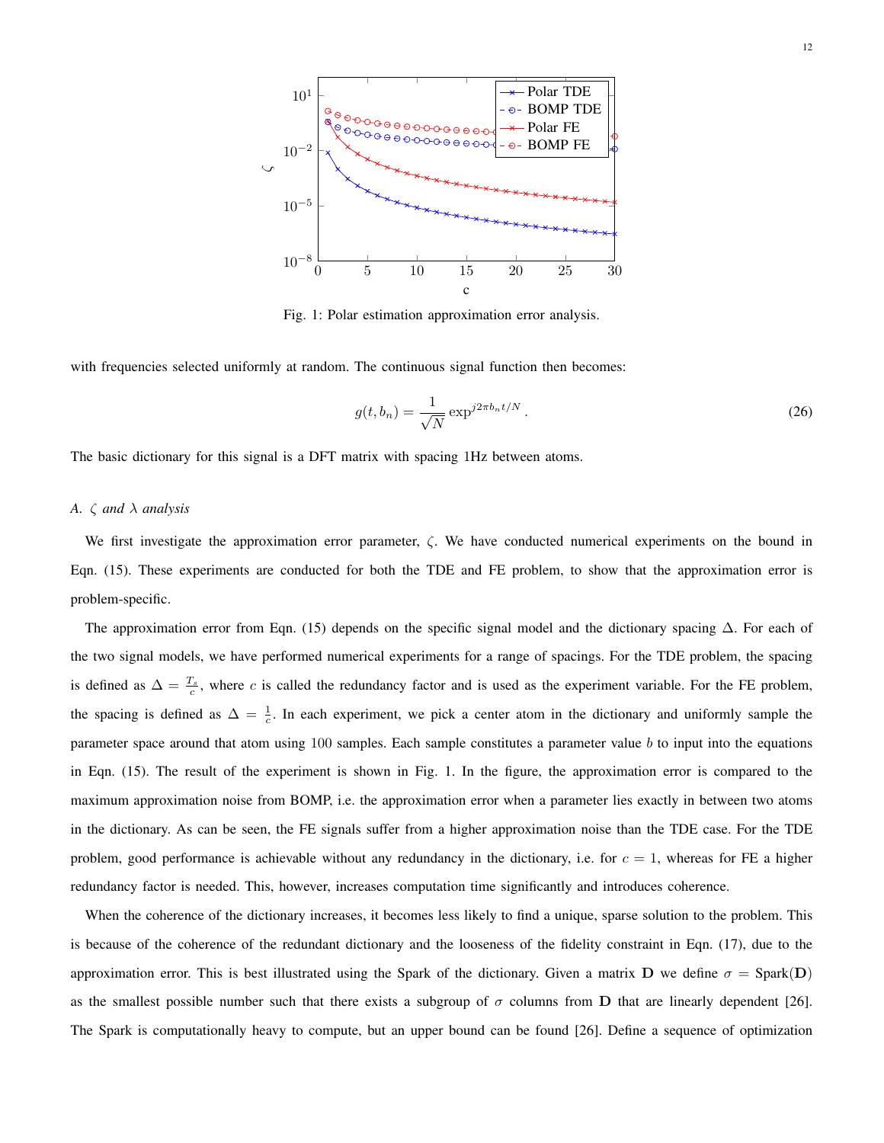

Fig. 1: Polar estimation approximation error analysis.

with frequencies selected uniformly at random. The continuous signal function then becomes:

$$
g(t, b_n) = \frac{1}{\sqrt{N}} \exp^{j2\pi b_n t/N}.
$$
 (26)

The basic dictionary for this signal is a DFT matrix with spacing 1Hz between atoms.

# *A.* ζ *and* λ *analysis*

We first investigate the approximation error parameter,  $\zeta$ . We have conducted numerical experiments on the bound in Eqn. (15). These experiments are conducted for both the TDE and FE problem, to show that the approximation error is problem-specific.

The approximation error from Eqn. (15) depends on the specific signal model and the dictionary spacing ∆. For each of the two signal models, we have performed numerical experiments for a range of spacings. For the TDE problem, the spacing is defined as  $\Delta = \frac{T_s}{c}$ , where c is called the redundancy factor and is used as the experiment variable. For the FE problem, the spacing is defined as  $\Delta = \frac{1}{c}$ . In each experiment, we pick a center atom in the dictionary and uniformly sample the parameter space around that atom using 100 samples. Each sample constitutes a parameter value b to input into the equations in Eqn. (15). The result of the experiment is shown in Fig. 1. In the figure, the approximation error is compared to the maximum approximation noise from BOMP, i.e. the approximation error when a parameter lies exactly in between two atoms in the dictionary. As can be seen, the FE signals suffer from a higher approximation noise than the TDE case. For the TDE problem, good performance is achievable without any redundancy in the dictionary, i.e. for  $c = 1$ , whereas for FE a higher redundancy factor is needed. This, however, increases computation time significantly and introduces coherence.

When the coherence of the dictionary increases, it becomes less likely to find a unique, sparse solution to the problem. This is because of the coherence of the redundant dictionary and the looseness of the fidelity constraint in Eqn. (17), due to the approximation error. This is best illustrated using the Spark of the dictionary. Given a matrix D we define  $\sigma = \text{Spark}(D)$ as the smallest possible number such that there exists a subgroup of  $\sigma$  columns from D that are linearly dependent [26]. The Spark is computationally heavy to compute, but an upper bound can be found [26]. Define a sequence of optimization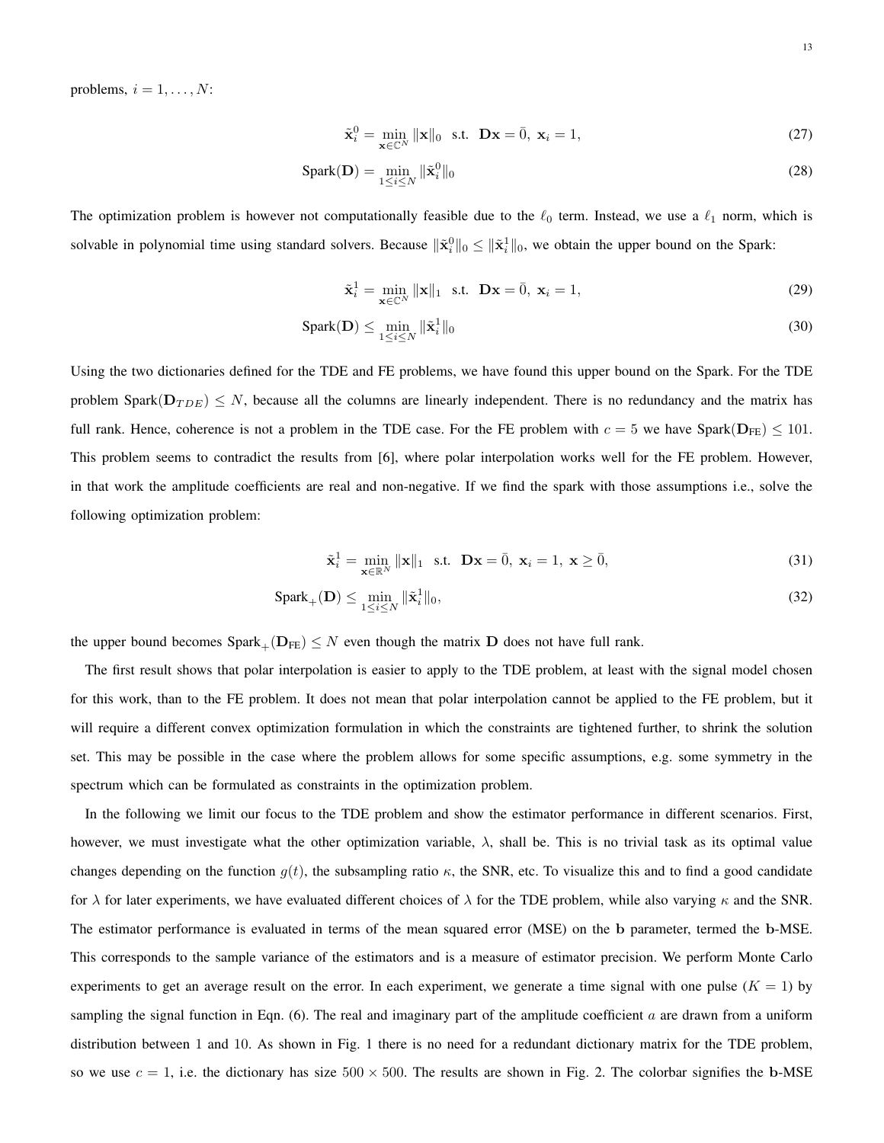problems,  $i = 1, \ldots, N$ :

$$
\tilde{\mathbf{x}}_i^0 = \min_{\mathbf{x} \in \mathbb{C}^N} \|\mathbf{x}\|_0 \quad \text{s.t.} \quad \mathbf{D}\mathbf{x} = \bar{0}, \ \mathbf{x}_i = 1,
$$
\n<sup>(27)</sup>

$$
Spark(D) = \min_{1 \le i \le N} \|\tilde{\mathbf{x}}_i^0\|_0
$$
\n(28)

The optimization problem is however not computationally feasible due to the  $\ell_0$  term. Instead, we use a  $\ell_1$  norm, which is solvable in polynomial time using standard solvers. Because  $\|\tilde{\mathbf{x}}_i^0\|_0 \leq \|\tilde{\mathbf{x}}_i^1\|_0$ , we obtain the upper bound on the Spark:

$$
\tilde{\mathbf{x}}_i^1 = \min_{\mathbf{x} \in \mathbb{C}^N} \|\mathbf{x}\|_1 \quad \text{s.t.} \quad \mathbf{D}\mathbf{x} = \bar{0}, \ \mathbf{x}_i = 1,\tag{29}
$$

$$
Spark(D) \le \min_{1 \le i \le N} \|\tilde{\mathbf{x}}_i^1\|_0 \tag{30}
$$

Using the two dictionaries defined for the TDE and FE problems, we have found this upper bound on the Spark. For the TDE problem Spark( $D_{TDE}$ )  $\leq N$ , because all the columns are linearly independent. There is no redundancy and the matrix has full rank. Hence, coherence is not a problem in the TDE case. For the FE problem with  $c = 5$  we have Spark( $D_{FE}$ )  $\leq 101$ . This problem seems to contradict the results from [6], where polar interpolation works well for the FE problem. However, in that work the amplitude coefficients are real and non-negative. If we find the spark with those assumptions i.e., solve the following optimization problem:

$$
\tilde{\mathbf{x}}_i^1 = \min_{\mathbf{x} \in \mathbb{R}^N} \|\mathbf{x}\|_1 \quad \text{s.t.} \quad \mathbf{D}\mathbf{x} = \bar{0}, \ \mathbf{x}_i = 1, \ \mathbf{x} \ge \bar{0}, \tag{31}
$$

$$
Spark_{+}(\mathbf{D}) \le \min_{1 \le i \le N} \|\tilde{\mathbf{x}}_i^1\|_0,\tag{32}
$$

the upper bound becomes  $\text{Spark}_{+}(D_{FE}) \leq N$  even though the matrix D does not have full rank.

The first result shows that polar interpolation is easier to apply to the TDE problem, at least with the signal model chosen for this work, than to the FE problem. It does not mean that polar interpolation cannot be applied to the FE problem, but it will require a different convex optimization formulation in which the constraints are tightened further, to shrink the solution set. This may be possible in the case where the problem allows for some specific assumptions, e.g. some symmetry in the spectrum which can be formulated as constraints in the optimization problem.

In the following we limit our focus to the TDE problem and show the estimator performance in different scenarios. First, however, we must investigate what the other optimization variable,  $\lambda$ , shall be. This is no trivial task as its optimal value changes depending on the function  $g(t)$ , the subsampling ratio  $\kappa$ , the SNR, etc. To visualize this and to find a good candidate for  $\lambda$  for later experiments, we have evaluated different choices of  $\lambda$  for the TDE problem, while also varying  $\kappa$  and the SNR. The estimator performance is evaluated in terms of the mean squared error (MSE) on the b parameter, termed the b-MSE. This corresponds to the sample variance of the estimators and is a measure of estimator precision. We perform Monte Carlo experiments to get an average result on the error. In each experiment, we generate a time signal with one pulse  $(K = 1)$  by sampling the signal function in Eqn. (6). The real and imaginary part of the amplitude coefficient  $a$  are drawn from a uniform distribution between 1 and 10. As shown in Fig. 1 there is no need for a redundant dictionary matrix for the TDE problem, so we use  $c = 1$ , i.e. the dictionary has size  $500 \times 500$ . The results are shown in Fig. 2. The colorbar signifies the b-MSE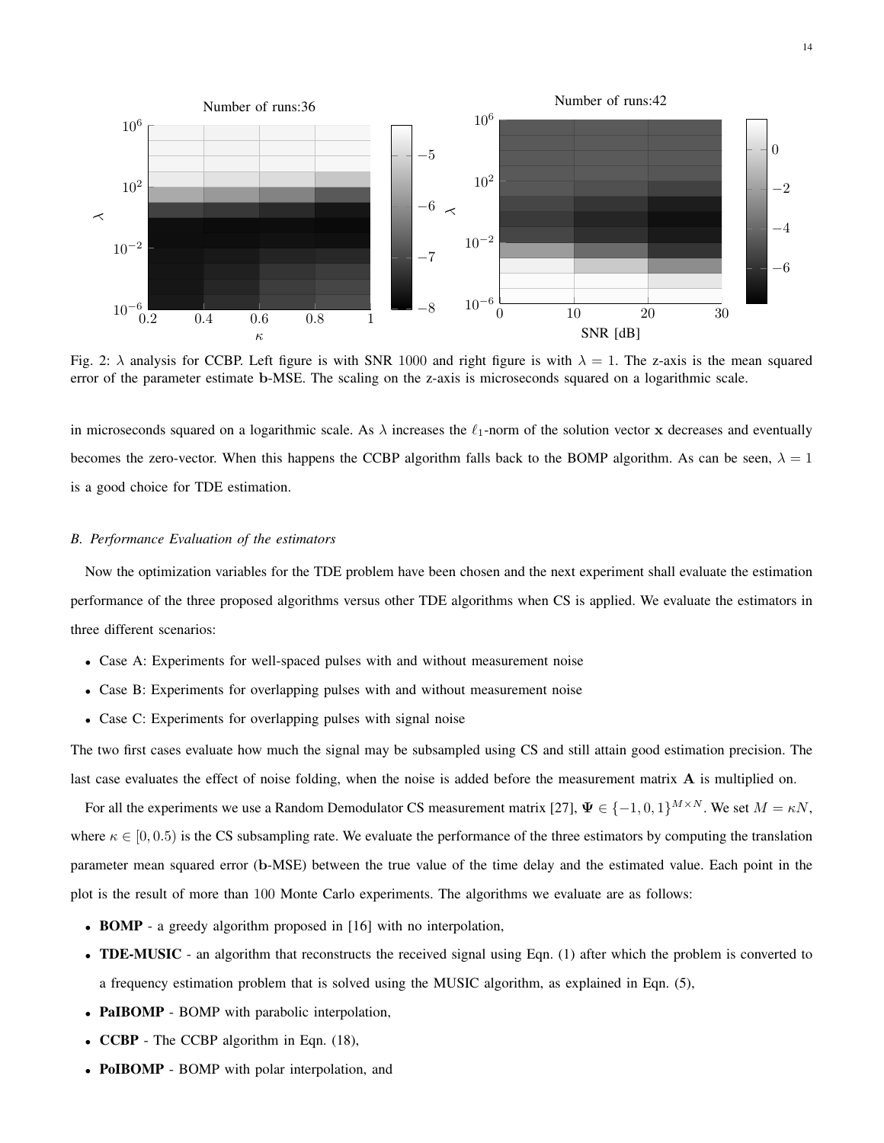

Fig. 2:  $\lambda$  analysis for CCBP. Left figure is with SNR 1000 and right figure is with  $\lambda = 1$ . The z-axis is the mean squared error of the parameter estimate b-MSE. The scaling on the z-axis is microseconds squared on a logarithmic scale.

in microseconds squared on a logarithmic scale. As  $\lambda$  increases the  $\ell_1$ -norm of the solution vector x decreases and eventually becomes the zero-vector. When this happens the CCBP algorithm falls back to the BOMP algorithm. As can be seen,  $\lambda = 1$ is a good choice for TDE estimation.

# *B. Performance Evaluation of the estimators*

Now the optimization variables for the TDE problem have been chosen and the next experiment shall evaluate the estimation performance of the three proposed algorithms versus other TDE algorithms when CS is applied. We evaluate the estimators in three different scenarios:

- Case A: Experiments for well-spaced pulses with and without measurement noise
- Case B: Experiments for overlapping pulses with and without measurement noise
- Case C: Experiments for overlapping pulses with signal noise

The two first cases evaluate how much the signal may be subsampled using CS and still attain good estimation precision. The last case evaluates the effect of noise folding, when the noise is added before the measurement matrix A is multiplied on.

For all the experiments we use a Random Demodulator CS measurement matrix [27],  $\Psi \in \{-1, 0, 1\}^{M \times N}$ . We set  $M = \kappa N$ , where  $\kappa \in [0, 0.5)$  is the CS subsampling rate. We evaluate the performance of the three estimators by computing the translation parameter mean squared error (b-MSE) between the true value of the time delay and the estimated value. Each point in the plot is the result of more than 100 Monte Carlo experiments. The algorithms we evaluate are as follows:

- **BOMP** a greedy algorithm proposed in [16] with no interpolation,
- TDE-MUSIC an algorithm that reconstructs the received signal using Eqn. (1) after which the problem is converted to a frequency estimation problem that is solved using the MUSIC algorithm, as explained in Eqn. (5),
- PaIBOMP BOMP with parabolic interpolation,
- CCBP The CCBP algorithm in Eqn. (18),
- PoIBOMP BOMP with polar interpolation, and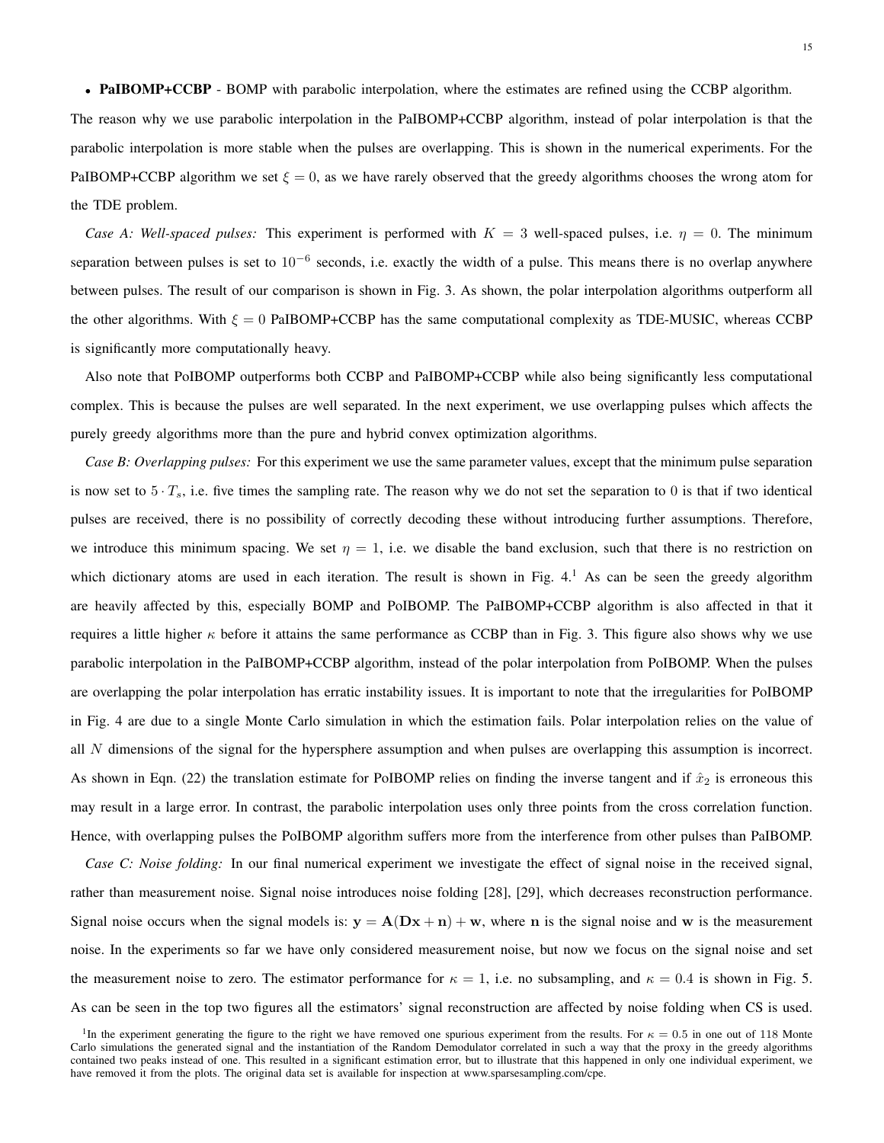The reason why we use parabolic interpolation in the PaIBOMP+CCBP algorithm, instead of polar interpolation is that the parabolic interpolation is more stable when the pulses are overlapping. This is shown in the numerical experiments. For the PaIBOMP+CCBP algorithm we set  $\xi = 0$ , as we have rarely observed that the greedy algorithms chooses the wrong atom for the TDE problem.

*Case A: Well-spaced pulses:* This experiment is performed with  $K = 3$  well-spaced pulses, i.e.  $\eta = 0$ . The minimum separation between pulses is set to  $10^{-6}$  seconds, i.e. exactly the width of a pulse. This means there is no overlap anywhere between pulses. The result of our comparison is shown in Fig. 3. As shown, the polar interpolation algorithms outperform all the other algorithms. With  $\xi = 0$  PaIBOMP+CCBP has the same computational complexity as TDE-MUSIC, whereas CCBP is significantly more computationally heavy.

Also note that PoIBOMP outperforms both CCBP and PaIBOMP+CCBP while also being significantly less computational complex. This is because the pulses are well separated. In the next experiment, we use overlapping pulses which affects the purely greedy algorithms more than the pure and hybrid convex optimization algorithms.

*Case B: Overlapping pulses:* For this experiment we use the same parameter values, except that the minimum pulse separation is now set to  $5 \cdot T_s$ , i.e. five times the sampling rate. The reason why we do not set the separation to 0 is that if two identical pulses are received, there is no possibility of correctly decoding these without introducing further assumptions. Therefore, we introduce this minimum spacing. We set  $\eta = 1$ , i.e. we disable the band exclusion, such that there is no restriction on which dictionary atoms are used in each iteration. The result is shown in Fig.  $4<sup>1</sup>$  As can be seen the greedy algorithm are heavily affected by this, especially BOMP and PoIBOMP. The PaIBOMP+CCBP algorithm is also affected in that it requires a little higher  $\kappa$  before it attains the same performance as CCBP than in Fig. 3. This figure also shows why we use parabolic interpolation in the PaIBOMP+CCBP algorithm, instead of the polar interpolation from PoIBOMP. When the pulses are overlapping the polar interpolation has erratic instability issues. It is important to note that the irregularities for PoIBOMP in Fig. 4 are due to a single Monte Carlo simulation in which the estimation fails. Polar interpolation relies on the value of all N dimensions of the signal for the hypersphere assumption and when pulses are overlapping this assumption is incorrect. As shown in Eqn. (22) the translation estimate for PoIBOMP relies on finding the inverse tangent and if  $\hat{x}_2$  is erroneous this may result in a large error. In contrast, the parabolic interpolation uses only three points from the cross correlation function. Hence, with overlapping pulses the PoIBOMP algorithm suffers more from the interference from other pulses than PaIBOMP.

*Case C: Noise folding:* In our final numerical experiment we investigate the effect of signal noise in the received signal, rather than measurement noise. Signal noise introduces noise folding [28], [29], which decreases reconstruction performance. Signal noise occurs when the signal models is:  $y = A(Dx + n) + w$ , where n is the signal noise and w is the measurement noise. In the experiments so far we have only considered measurement noise, but now we focus on the signal noise and set the measurement noise to zero. The estimator performance for  $\kappa = 1$ , i.e. no subsampling, and  $\kappa = 0.4$  is shown in Fig. 5. As can be seen in the top two figures all the estimators' signal reconstruction are affected by noise folding when CS is used.

<sup>&</sup>lt;sup>1</sup>In the experiment generating the figure to the right we have removed one spurious experiment from the results. For  $\kappa = 0.5$  in one out of 118 Monte Carlo simulations the generated signal and the instantiation of the Random Demodulator correlated in such a way that the proxy in the greedy algorithms contained two peaks instead of one. This resulted in a significant estimation error, but to illustrate that this happened in only one individual experiment, we have removed it from the plots. The original data set is available for inspection at www.sparsesampling.com/cpe.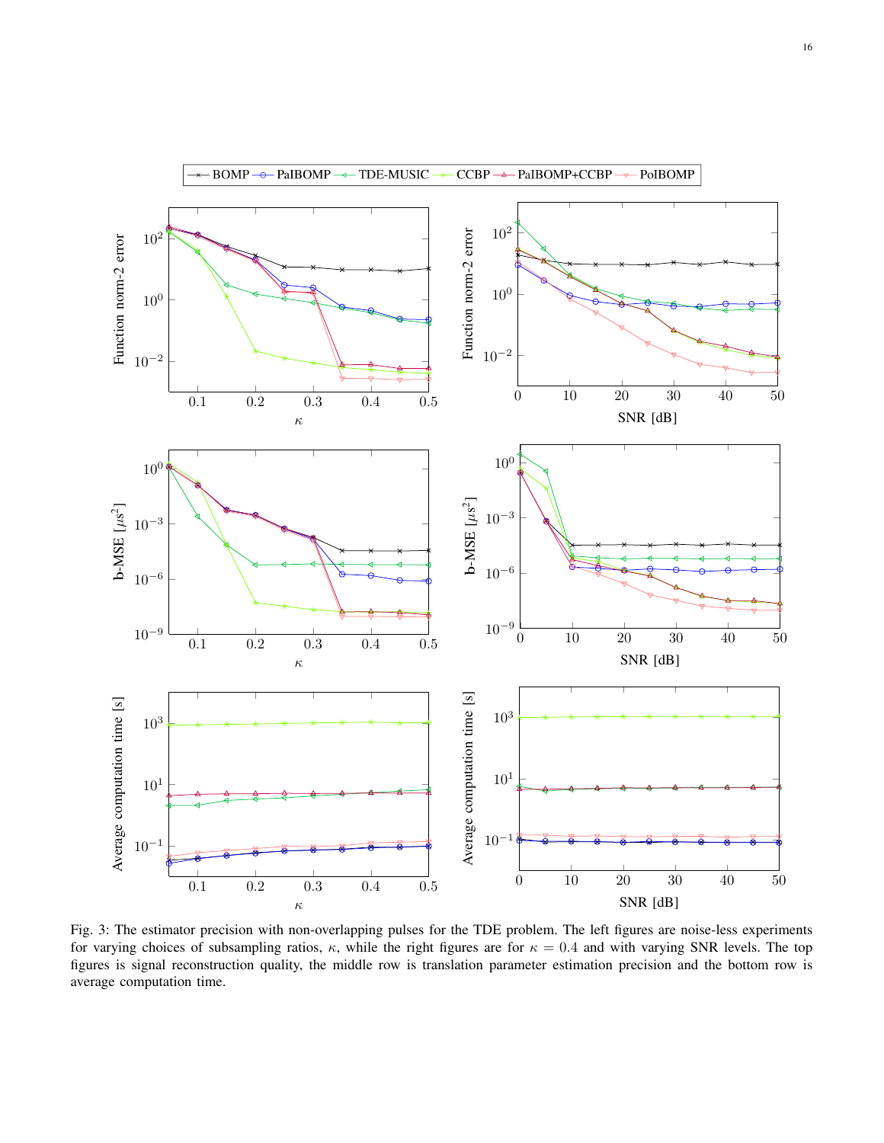

Fig. 3: The estimator precision with non-overlapping pulses for the TDE problem. The left figures are noise-less experiments for varying choices of subsampling ratios,  $\kappa$ , while the right figures are for  $\kappa = 0.4$  and with varying SNR levels. The top figures is signal reconstruction quality, the middle row is translation parameter estimation precision and the bottom row is average computation time.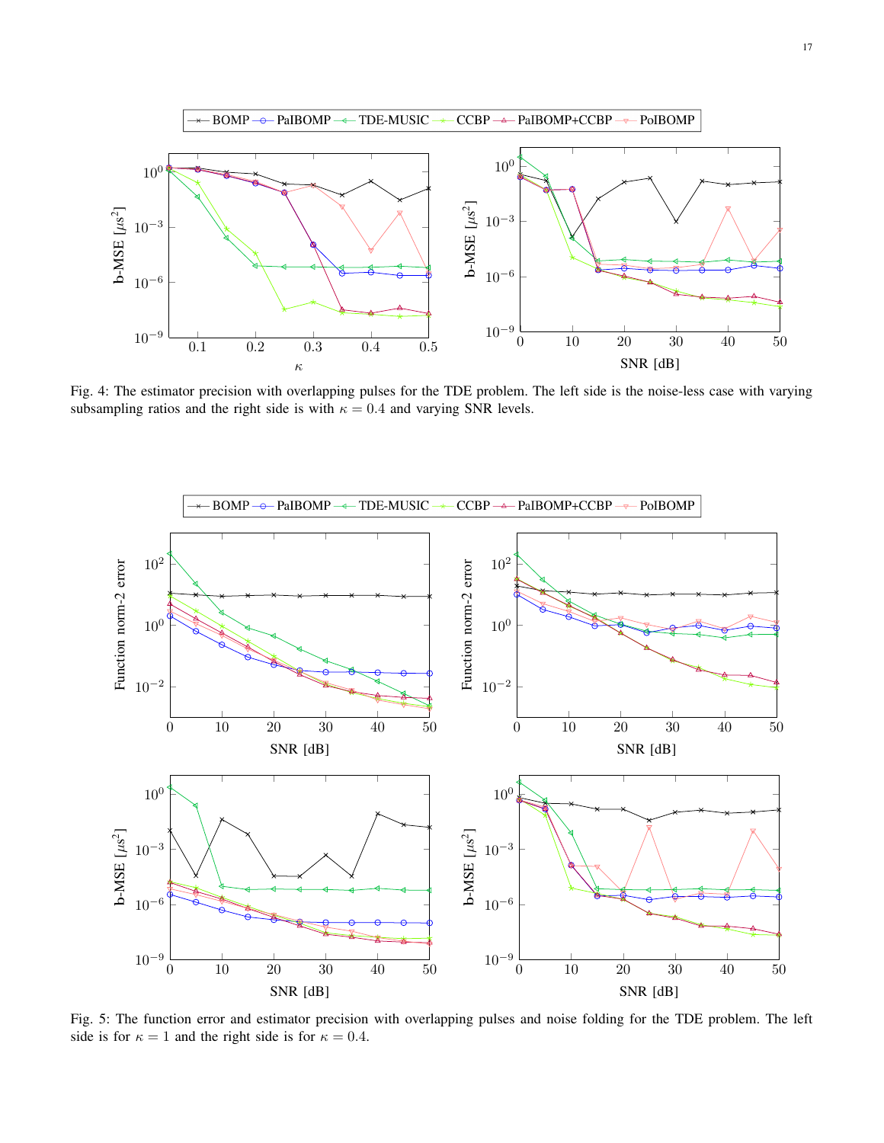

Fig. 4: The estimator precision with overlapping pulses for the TDE problem. The left side is the noise-less case with varying subsampling ratios and the right side is with  $\kappa = 0.4$  and varying SNR levels.



Fig. 5: The function error and estimator precision with overlapping pulses and noise folding for the TDE problem. The left side is for  $\kappa = 1$  and the right side is for  $\kappa = 0.4$ .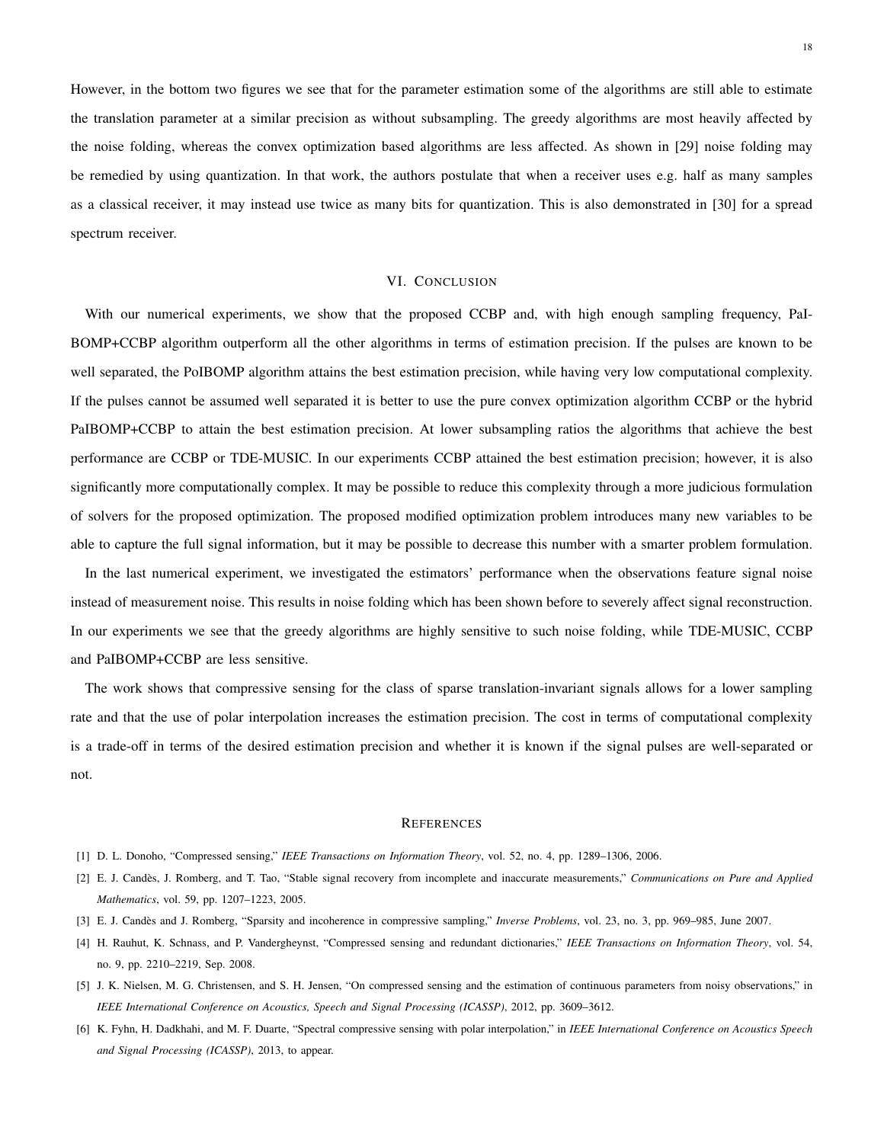However, in the bottom two figures we see that for the parameter estimation some of the algorithms are still able to estimate the translation parameter at a similar precision as without subsampling. The greedy algorithms are most heavily affected by the noise folding, whereas the convex optimization based algorithms are less affected. As shown in [29] noise folding may be remedied by using quantization. In that work, the authors postulate that when a receiver uses e.g. half as many samples as a classical receiver, it may instead use twice as many bits for quantization. This is also demonstrated in [30] for a spread spectrum receiver.

#### VI. CONCLUSION

With our numerical experiments, we show that the proposed CCBP and, with high enough sampling frequency, PaI-BOMP+CCBP algorithm outperform all the other algorithms in terms of estimation precision. If the pulses are known to be well separated, the PoIBOMP algorithm attains the best estimation precision, while having very low computational complexity. If the pulses cannot be assumed well separated it is better to use the pure convex optimization algorithm CCBP or the hybrid PaIBOMP+CCBP to attain the best estimation precision. At lower subsampling ratios the algorithms that achieve the best performance are CCBP or TDE-MUSIC. In our experiments CCBP attained the best estimation precision; however, it is also significantly more computationally complex. It may be possible to reduce this complexity through a more judicious formulation of solvers for the proposed optimization. The proposed modified optimization problem introduces many new variables to be able to capture the full signal information, but it may be possible to decrease this number with a smarter problem formulation.

In the last numerical experiment, we investigated the estimators' performance when the observations feature signal noise instead of measurement noise. This results in noise folding which has been shown before to severely affect signal reconstruction. In our experiments we see that the greedy algorithms are highly sensitive to such noise folding, while TDE-MUSIC, CCBP and PaIBOMP+CCBP are less sensitive.

The work shows that compressive sensing for the class of sparse translation-invariant signals allows for a lower sampling rate and that the use of polar interpolation increases the estimation precision. The cost in terms of computational complexity is a trade-off in terms of the desired estimation precision and whether it is known if the signal pulses are well-separated or not.

#### **REFERENCES**

- [1] D. L. Donoho, "Compressed sensing," *IEEE Transactions on Information Theory*, vol. 52, no. 4, pp. 1289–1306, 2006.
- [2] E. J. Candes, J. Romberg, and T. Tao, "Stable signal recovery from incomplete and inaccurate measurements," ` *Communications on Pure and Applied Mathematics*, vol. 59, pp. 1207–1223, 2005.
- [3] E. J. Candès and J. Romberg, "Sparsity and incoherence in compressive sampling," *Inverse Problems*, vol. 23, no. 3, pp. 969–985, June 2007.
- [4] H. Rauhut, K. Schnass, and P. Vandergheynst, "Compressed sensing and redundant dictionaries," *IEEE Transactions on Information Theory*, vol. 54, no. 9, pp. 2210–2219, Sep. 2008.
- [5] J. K. Nielsen, M. G. Christensen, and S. H. Jensen, "On compressed sensing and the estimation of continuous parameters from noisy observations," in *IEEE International Conference on Acoustics, Speech and Signal Processing (ICASSP)*, 2012, pp. 3609–3612.
- [6] K. Fyhn, H. Dadkhahi, and M. F. Duarte, "Spectral compressive sensing with polar interpolation," in *IEEE International Conference on Acoustics Speech and Signal Processing (ICASSP)*, 2013, to appear.